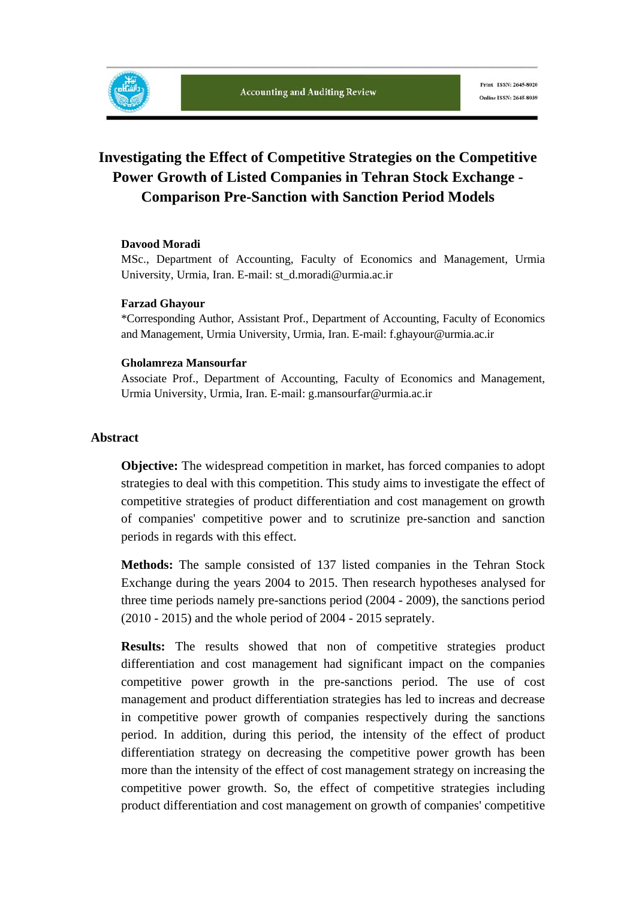# **Investigating the Effect of Competitive Strategies on the Competitive Power Growth of Listed Companies in Tehran Stock Exchange - Comparison Pre-Sanction with Sanction Period Models**

#### **Davood Moradi**

MSc., Department of Accounting, Faculty of Economics and Management, Urmia University, Urmia, Iran. E-mail: st\_d.moradi@urmia.ac.ir

#### **Farzad Ghayour**

\*Corresponding Author, Assistant Prof., Department of Accounting, Faculty of Economics and Management, Urmia University, Urmia, Iran. E-mail: f.ghayour@urmia.ac.ir

#### **Gholamreza Mansourfar**

Associate Prof., Department of Accounting, Faculty of Economics and Management, Urmia University, Urmia, Iran. E-mail: g.mansourfar@urmia.ac.ir

#### **Abstract**

**Objective:** The widespread competition in market, has forced companies to adopt strategies to deal with this competition. This study aims to investigate the effect of competitive strategies of product differentiation and cost management on growth of companies' competitive power and to scrutinize pre-sanction and sanction periods in regards with this effect.

**Methods:** The sample consisted of 137 listed companies in the Tehran Stock Exchange during the years 2004 to 2015. Then research hypotheses analysed for three time periods namely pre-sanctions period (2004 - 2009), the sanctions period (2010 - 2015) and the whole period of 2004 - 2015 seprately.

**Results:** The results showed that non of competitive strategies product differentiation and cost management had significant impact on the companies competitive power growth in the pre-sanctions period. The use of cost management and product differentiation strategies has led to increas and decrease in competitive power growth of companies respectively during the sanctions period. In addition, during this period, the intensity of the effect of product differentiation strategy on decreasing the competitive power growth has been more than the intensity of the effect of cost management strategy on increasing the competitive power growth. So, the effect of competitive strategies including product differentiation and cost management on growth of companies' competitive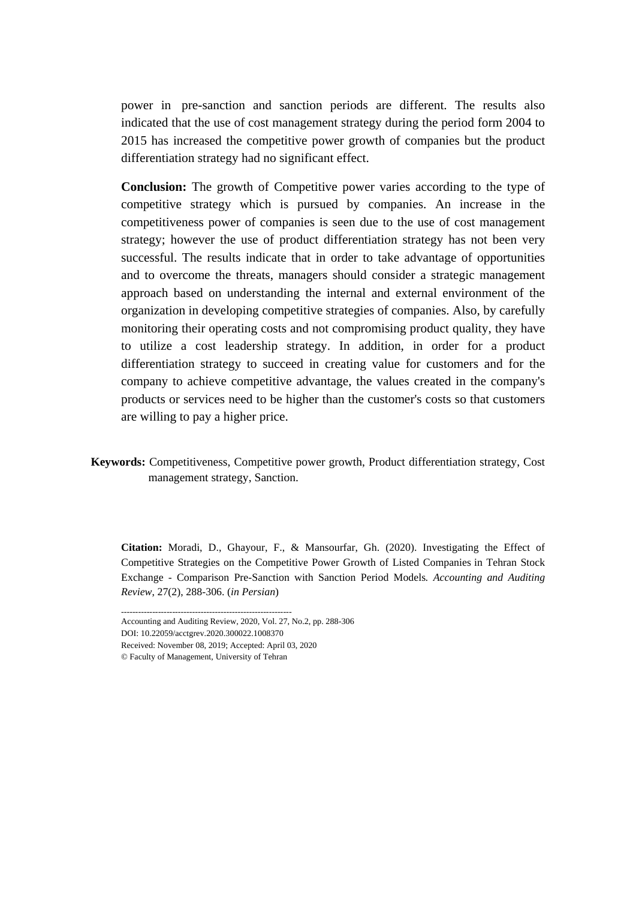power in pre-sanction and sanction periods are different. The results also indicated that the use of cost management strategy during the period form 2004 to 2015 has increased the competitive power growth of companies but the product differentiation strategy had no significant effect.

**Conclusion:** The growth of Competitive power varies according to the type of competitive strategy which is pursued by companies. An increase in the competitiveness power of companies is seen due to the use of cost management strategy; however the use of product differentiation strategy has not been very successful. The results indicate that in order to take advantage of opportunities and to overcome the threats, managers should consider a strategic management approach based on understanding the internal and external environment of the organization in developing competitive strategies of companies. Also, by carefully monitoring their operating costs and not compromising product quality, they have to utilize a cost leadership strategy. In addition, in order for a product differentiation strategy to succeed in creating value for customers and for the company to achieve competitive advantage, the values created in the company's products or services need to be higher than the customer's costs so that customers are willing to pay a higher price.

**Keywords:** Competitiveness, Competitive power growth, Product differentiation strategy, Cost management strategy, Sanction.

**Citation:** Moradi, D., Ghayour, F., & Mansourfar, Gh. (2020). Investigating the Effect of Competitive Strategies on the Competitive Power Growth of Listed Companies in Tehran Stock Exchange - Comparison Pre-Sanction with Sanction Period Models*. Accounting and Auditing Review*, 27(2), 288-306. (*in Persian*)

<sup>------------------------------------------------------------</sup>  Accounting and Auditing Review, 2020, Vol. 27, No.2, pp. 288-306

DOI: 10.22059/acctgrev.2020.300022.1008370

Received: November 08, 2019; Accepted: April 03, 2020

<sup>©</sup> Faculty of Management, University of Tehran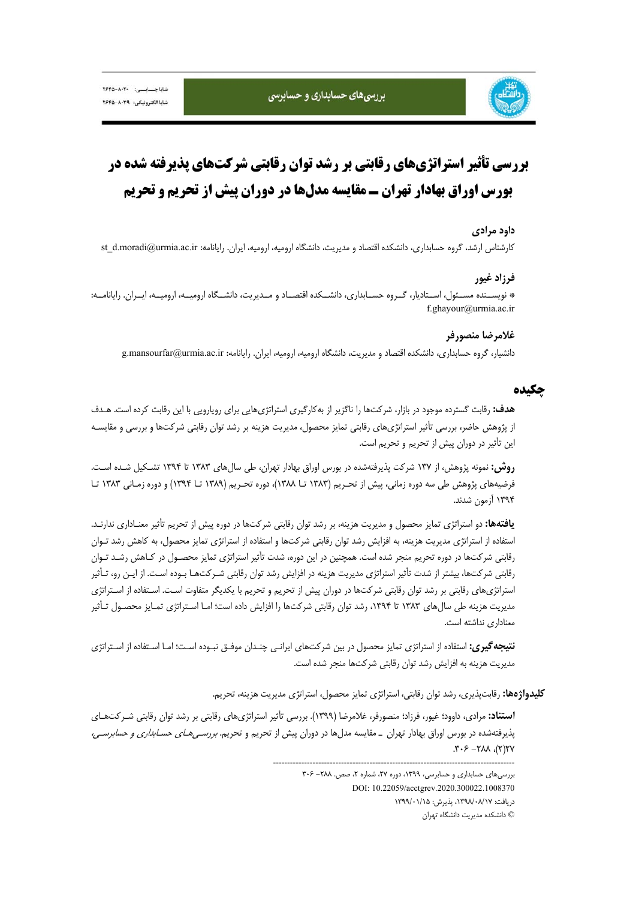

# **بررسي تأثير استراتژيهاي رقابتي بر رشد توان رقابتي شركتهاي پذيرفته شده در بورس اوراق بهادار تهران ـ مقايسه مدلها در دوران پيش از تحريم و تحريم**

#### **داود مرادي**

كارشناس ارشد، گروه حسابداري، دانشكده اقتصاد و مديريت، دانشگاه اروميه، اروميه، ايران. رايانامه: st\_d.moradi@urmia.ac.ir

## **فرزاد غيور**

\* نويســنده مســئول، اســتاديار، گــروه حســابداري، دانشــكده اقتصــاد و مــديريت، دانشــگاه اروميــه، اروميــه، ايــران. رايانامــه: f.ghayour@urmia.ac.ir

## **غلامرضا منصورفر**

دانشيار، گروه حسابداري، دانشكده اقتصاد و مديريت، دانشگاه اروميه، اروميه، ايران. رايانامه: ir.ac.urmia@mansourfar.g

## **چكيده**

**هدف:** رقابت گسترده موجود در بازار، شركتها را ناگزير از بهكارگيري استراتژيهايي براي رويارويي با اين رقابت كرده است. هـدف از پژوهش حاضر، بررسي تأثير استراتژيهاي رقابتي تمايز محصول، مديريت هزينه بر رشد توان رقابتي شركتها و بررسي و مقايسـه اين تأثير در دوران پيش از تحريم و تحريم است.

**روش:** نمونه پژوهش، از 137 شركت پذيرفتهشده در بورس اوراق بهادار تهران، طي سالهاي 1383 تا 1394 تشـكيل شـده اسـت. فرضيههاي پژوهش طي سه دوره زماني، پيش از تحـريم (1383 تـا 1388)، دوره تحـريم (1389 تـا 1394) و دوره زمـاني 1383 تـا 1394 آزمون شدند.

**يافتهها:** دو استراتژي تمايز محصول و مديريت هزينه، بر رشد توان رقابتي شركتها در دوره پيش از تحريم تأثير معنـاداري ندارنـد. استفاده از استراتژي مديريت هزينه، به افزايش رشد توان رقابتي شركتها و استفاده از استراتژي تمايز محصول، به كاهش رشد تـوان رقابتي شركتها در دوره تحريم منجر شده است. همچنين در اين دوره، شدت تأثير استراتژي تمايز محصـول در كـاهش رشـد تـوان رقابتي شركتها، بيشتر از شدت تأثير استراتژي مديريت هزينه در افزايش رشد توان رقابتي شـركتهـا بـوده اسـت. از ايـن رو، تـأثير استراتژيهاي رقابتي بر رشد توان رقابتي شركتها در دوران پيش از تحريم و تحريم با يكديگر متفاوت اسـت. اسـتفاده از اسـتراتژي مديريت هزينه طي سالءاي ١٣٨٣ تا ١٣٩٤، رشد توان رقابتي شركتها را افزايش داده است؛ امـا اسـتراتژي تمـايز محصـول تـأثير معناداري نداشته است.

**نتيجهگيري:** استفاده از استراتژي تمايز محصول در بين شركتهاي ايرانـي چنـدان موفـق نبـوده اسـت؛ امـا اسـتفاده از اسـتراتژي مديريت هزينه به افزايش رشد توان رقابتي شركتها منجر شده است.

**كليدواژهها:** رقابتپذيري، رشد توان رقابتي، استراتژي تمايز محصول، استراتژي مديريت هزينه، تحريم.

**استناد:** مرادي، داوود؛ غيور، فرزاد؛ منصورفر، غلامرضا (1399). بررسي تأثير استراتژيهاي رقابتي بر رشد توان رقابتي شـركتهـاي پذيرفتهشده در بورس اوراق بهادار تهران ـ مقايسه مدلها در دوران پيش از تحريم و تحريم. بررسـيهـاي حسـابداري <sup>و</sup> حسابرسـي،  $YY(Y)$ ,  $\lambda \lambda Y - 3 \cdot 7$ .

-------------------------------------------------------------------------------------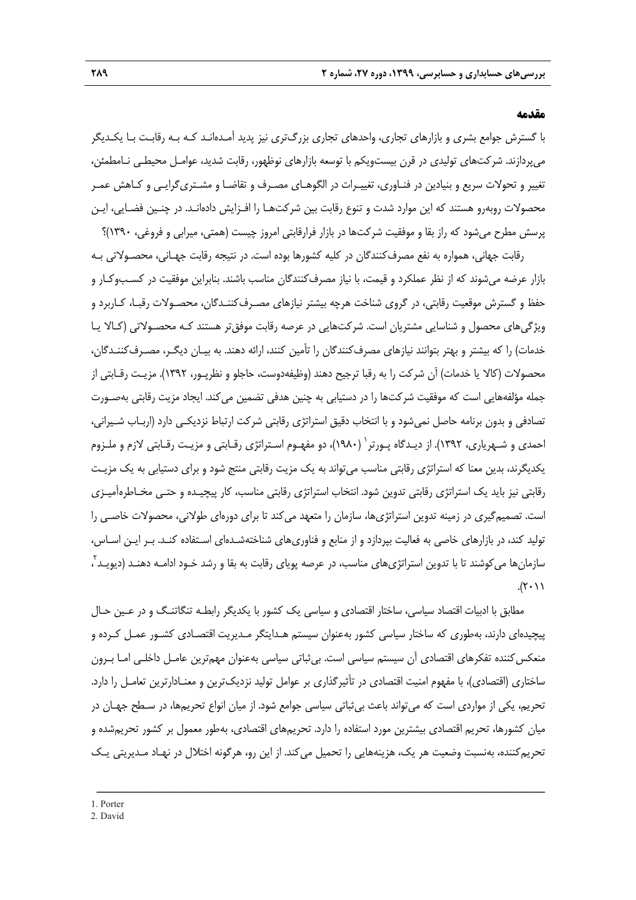#### **مقدمه**

با گسترش جوامع بشري و بازارهاي تجاري، واحدهاي تجاري بزرگتري نيز پديد آمـدهانـد كـه بـه رقابـت بـا يكـديگر ميپردازند. شركتهاي توليدي در قرن بيستويكم با توسعه بازارهاي نوظهور، رقابت شديد، عوامـل محيطـي نـامطمئن، تغيير و تحولات سريع و بنيادين در فنـاوري، تغييـرات در الگوهـاي مصـرف و تقاضـا و مشـتريگرايـي و كـاهش عمـر محصولات روبهرو هستند كه اين موارد شدت و تنوع رقابت بين شركتهـا را افـزايش دادهانـد. در چنـين فضـايي، ايـن پرسش مطرح ميشود كه راز بقا و موفقيت شركتها در بازار فرارقابتي امروز چيست (همتي، ميرابي و فروغي، 1390)؟

رقابت جهاني، همواره به نفع مصرفكنندگان در كليه كشورها بوده است. در نتيجه رقابت جهـاني، محصـولاتي بـه بازار عرضه ميشوند كه از نظر عملكرد و قيمت، با نياز مصرفكنندگان مناسب باشند. بنابراين موفقيت در كسـبوكـار و حفظ و گسترش موقعيت رقابتي، در گروي شناخت هرچه بيشتر نيازهاي مصـرفكننـدگان، محصـولات رقبـا، كـاربرد و ويژگيهاي محصول و شناسايي مشتريان است. شركتهايي در عرصه رقابت موفقتر هستند كـه محصـولاتي (كـالا يـا خدمات) را كه بيشتر و بهتر بتوانند نيازهاي مصرفكنندگان را تأمين كنند، ارائه دهند. به بيـان ديگـر، مصـرفكننـدگان، محصولات (كالا يا خدمات) آن شركت را به رقبا ترجيح دهند (وظيفهدوست، حاجلو و نظرپـور، 1392). مزيـت رقـابتي از جمله مؤلفههايي است كه موفقيت شركتها را در دستيابي به چنين هدفي تضمين ميكند. ايجاد مزيت رقابتي بهصـورت تصادفي و بدون برنامه حاصل نميشود و با انتخاب دقيق استراتژي رقابتي شركت ارتباط نزديكـي دارد (اربـاب شـيراني، احمدي و شـهرياري، ١٣٩٢). از ديـدگاه پـورتر ٰ (١٩٨٠)، دو مفهـوم اسـتراتژي رقـابتي و مزيـت رقـابتي لازم و ملـزوم يكديگرند، بدين معنا كه استراتژي رقابتي مناسب ميتواند به يك مزيت رقابتي منتج شود و براي دستيابي به يك مزيـت رقابتي نيز بايد يك استراتژي رقابتي تدوين شود. انتخاب استراتژي رقابتي مناسب، كار پيچيـده و حتـي مخـاطرهآميـزي است. تصميمگيري در زمينه تدوين استراتژيها، سازمان را متعهد ميكند تا براي دورهاي طولاني، محصولات خاصـي را توليد كند، در بازارهاي خاصي به فعاليت بپردازد و از منابع و فناوريهاي شناختهشـدهاي اسـتفاده كنـد. بـر ايـن اسـاس، سازمانها ميكوشند تا با تدوين استراتژيهاي مناسب، در عرصه پوياي رقابت به بقا و رشد خـود ادامـه دهنـد (ديويـد<sup>۲</sup> ،  $.(\tau \cdot \gamma)$ 

مطابق با ادبيات اقتصاد سياسي، ساختار اقتصادي و سياسي يك كشور با يكديگر رابطـه تنگاتنـگ و در عـين حـال پيچيدهاي دارند، بهطوري كه ساختار سياسي كشور بهعنوان سيستم هـدايتگر مـديريت اقتصـادي كشـور عمـل كـرده و منعكسكننده تفكرهاي اقتصادي آن سيستم سياسي است. بيثباتي سياسي بهعنوان مهمترين عامـل داخلـي امـا بـرون ساختاري (اقتصادي)، با مفهوم امنيت اقتصادي در تأثيرگذاري بر عوامل توليد نزديكترين و معنـادارترين تعامـل را دارد. تحريم، يكي از مواردي است كه ميتواند باعث بيثباتي سياسي جوامع شود. از ميان انواع تحريمها، در سـطح جهـان در ميان كشورها، تحريم اقتصادي بيشترين مورد استفاده را دارد. تحريمهاي اقتصادي، بهطور معمول بر كشور تحريمشده و تحريمكننده، بهنسبت وضعيت هر يك، هزينههايي را تحميل ميكند. از اين رو، هرگونه اختلال در نهـاد مـديريتي يـك

ــــــــــــــــــــــــــــــــــــــــــــــــــــــــــــــــــــــــــــــــــــــــــــــــــــــــــــــــــــــــــــــــــــ

1. Porter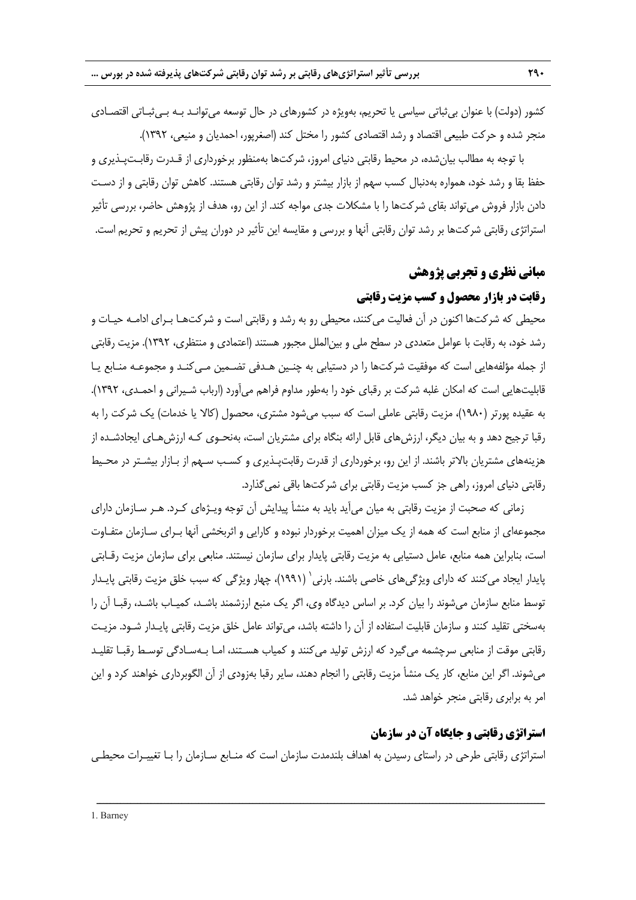كشور (دولت) با عنوان بيثباتي سياسي يا تحريم، بهويژه در كشورهاي در حال توسعه ميتوانـد بـه بـيثبـاتي اقتصـادي منجر شده و حركت طبيعي اقتصاد و رشد اقتصادي كشور را مختل كند (اصغرپور، احمديان و منيعي، 1392).

با توجه به مطالب بيانشده، در محيط رقابتي دنياي امروز، شركتها بهمنظور برخورداري از قـدرت رقابـتپـذيري و حفظ بقا و رشد خود، همواره بهدنبال كسب سهم از بازار بيشتر و رشد توان رقابتي هستند. كاهش توان رقابتي و از دسـت دادن بازار فروش ميتواند بقاي شركتها را با مشكلات جدي مواجه كند. از اين رو، هدف از پژوهش حاضر، بررسي تأثير استراتژي رقابتي شركتها بر رشد توان رقابتي آنها و بررسي و مقايسه اين تأثير در دوران پيش از تحريم و تحريم است.

# **مباني نظري و تجربي پژوهش**

# **رقابت در بازار محصول و كسب مزيت رقابتي**

محيطي كه شركتها اكنون در آن فعاليت ميكنند، محيطي رو به رشد و رقابتي است و شركتهـا بـراي ادامـه حيـات و رشد خود، به رقابت با عوامل متعددي در سطح ملي و بينالملل مجبور هستند (اعتمادي و منتظري، 1392). مزيت رقابتي از جمله مؤلفههايي است كه موفقيت شركتها را در دستيابي به چنـين هـدفي تضـمين مـيكنـد و مجموعـه منـابع يـا قابليتهايي است كه امكان غلبه شركت بر رقباي خود را بهطور مداوم فراهم ميآورد (ارباب شـيراني و احمـدي، 1392). به عقيده پورتر (1980)، مزيت رقابتي عاملي است كه سبب ميشود مشتري، محصول (كالا يا خدمات) يك شركت را به رقبا ترجيح دهد و به بيان ديگر، ارزشهاي قابل ارائه بنگاه براي مشتريان است، بهنحـوي كـه ارزشهـاي ايجادشـده از هزينههاي مشتريان بالاتر باشند. از اين رو، برخورداري از قدرت رقابتپـذيري و كسـب سـهم از بـازار بيشـتر در محـيط رقابتي دنياي امروز، راهي جز كسب مزيت رقابتي براي شركتها باقي نميگذارد.

زماني كه صحبت از مزيت رقابتي به ميان ميآيد بايد به منشأ پيدايش آن توجه ويـژهاي كـرد. هـر سـازمان داراي مجموعهاي از منابع است كه همه از يك ميزان اهميت برخوردار نبوده و كارايي و اثربخشي آنها بـراي سـازمان متفـاوت است، بنابراين همه منابع، عامل دستيابي به مزيت رقابتي پايدار براي سازمان نيستند. منابعي براي سازمان مزيت رقـابتي پايدار ايجاد مي كنند كه داراي ويژگي هاي خاصي باشند. بارني ` (١٩٩١)، چهار ويژگي كه سبب خلق مزيت رقابتي پايـدار توسط منابع سازمان ميشوند را بيان كرد. بر اساس ديدگاه وي، اگر يك منبع ارزشمند باشـد، كميـاب باشـد، رقبـا آن را بهسختي تقليد كنند و سازمان قابليت استفاده از آن را داشته باشد، ميتواند عامل خلق مزيت رقابتي پايـدار شـود. مزيـت رقابتي موقت از منابعي سرچشمه ميگيرد كه ارزش توليد ميكنند و كمياب هسـتند، امـا بـهسـادگي توسـط رقبـا تقليـد ميشوند. اگر اين منابع، كار يك منشأ مزيت رقابتي را انجام دهند، ساير رقبا بهزودي از آن الگوبرداري خواهند كرد و اين امر به برابري رقابتي منجر خواهد شد.

# **استراتژي رقابتي و جايگاه آن در سازمان**

استراتژي رقابتي طرحي در راستاي رسيدن به اهداف بلندمدت سازمان است كه منـابع سـازمان را بـا تغييـرات محيطـي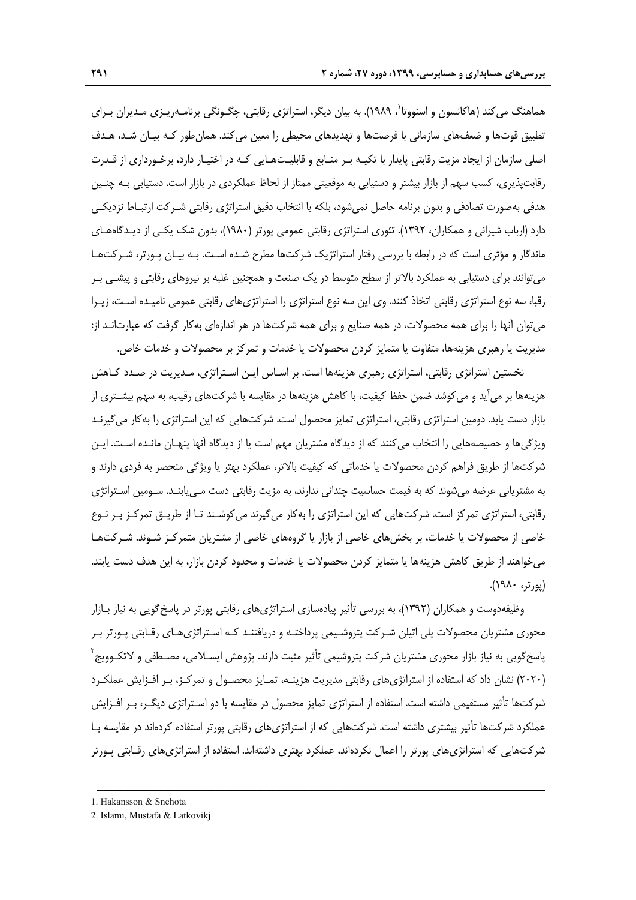هماهنگ مي كند (هاكانسون و اسنووتا`، ۱۹۸۹). به بيان ديگر، استراتژي رقابتي، چگـونگي برنامـهريـزي مـديران بـراي تطبيق قوتها و ضعفهاي سازماني با فرصتها و تهديدهاي محيطي را معين ميكند. همانطور كـه بيـان شـد، هـدف اصلي سازمان از ايجاد مزيت رقابتي پايدار با تكيـه بـر منـابع و قابليـتهـايي كـه در اختيـار دارد، برخـورداري از قـدرت رقابتپذيري، كسب سهم از بازار بيشتر و دستيابي به موقعيتي ممتاز از لحاظ عملكردي در بازار است. دستيابي بـه چنـين هدفي بهصورت تصادفي و بدون برنامه حاصل نميشود، بلكه با انتخاب دقيق استراتژي رقابتي شـركت ارتبـاط نزديكـي دارد (ارباب شيراني و همكاران، 1392). تئوري استراتژي رقابتي عمومي پورتر (1980)، بدون شك يكـي از ديـدگاههـاي ماندگار و مؤثري است كه در رابطه با بررسي رفتار استراتژيك شركتها مطرح شـده اسـت. بـه بيـان پـورتر، شـركتهـا ميتوانند براي دستيابي به عملكرد بالاتر از سطح متوسط در يك صنعت و همچنين غلبه بر نيروهاي رقابتي و پيشـي بـر رقبا، سه نوع استراتژي رقابتي اتخاذ كنند. وي اين سه نوع استراتژي را استراتژيهاي رقابتي عمومي ناميـده اسـت، زيـرا ميتوان آنها را براي همه محصولات، در همه صنايع و براي همه شركتها در هر اندازهاي بهكار گرفت كه عبارتانـد از: مديريت يا رهبري هزينهها، متفاوت يا متمايز كردن محصولات يا خدمات و تمركز بر محصولات و خدمات خاص.

نخستين استراتژي رقابتي، استراتژي رهبري هزينهها است. بر اسـاس ايـن اسـتراتژي، مـديريت در صـدد كـاهش هزينهها بر ميآيد و ميكوشد ضمن حفظ كيفيت، با كاهش هزينهها در مقايسه با شركتهاي رقيب، به سهم بيشـتري از بازار دست يابد. دومين استراتژي رقابتي، استراتژي تمايز محصول است. شركتهايي كه اين استراتژي را بهكار ميگيرنـد ويژگيها و خصيصههايي را انتخاب ميكنند كه از ديدگاه مشتريان مهم است يا از ديدگاه آنها پنهـان مانـده اسـت. ايـن شركتها از طريق فراهم كردن محصولات يا خدماتي كه كيفيت بالاتر، عملكرد بهتر يا ويژگي منحصر به فردي دارند و به مشترياني عرضه ميشوند كه به قيمت حساسيت چنداني ندارند، به مزيت رقابتي دست مـييابنـد. سـومين اسـتراتژي رقابتي، استراتژي تمركز است. شركتهايي كه اين استراتژي را بهكار ميگيرند ميكوشـند تـا از طريـق تمركـز بـر نـوع خاصي از محصولات يا خدمات، بر بخشهاي خاصي از بازار يا گروههاي خاصي از مشتريان متمركـز شـوند. شـركتهـا ميخواهند از طريق كاهش هزينهها يا متمايز كردن محصولات يا خدمات و محدود كردن بازار، به اين هدف دست يابند. (پورتر، 1980).

وظيفهدوست و همكاران (1392)، به بررسي تأثير پيادهسازي استراتژيهاي رقابتي پورتر در پاسخگويي به نياز بـازار محوري مشتريان محصولات پلي اتيلن شـركت پتروشـيمي پرداختـه و دريافتنـد كـه اسـتراتژيهـاي رقـابتي پـورتر بـر پاسخگويي به نياز بازار محوري مشتريان شركت پتروشيمي تأثير مثبت دارند. پژوهش ايسـلامي، مصـطفي و لاتكـوويج<sup>۲</sup> (2020) نشان داد كه استفاده از استراتژيهاي رقابتي مديريت هزينـه، تمـايز محصـول و تمركـز، بـر افـزايش عملكـرد شركتها تأثير مستقيمي داشته است. استفاده از استراتژي تمايز محصول در مقايسه با دو اسـتراتژي ديگـر، بـر افـزايش عملكرد شركتها تأثير بيشتري داشته است. شركتهايي كه از استراتژيهاي رقابتي پورتر استفاده كردهاند در مقايسه بـا شركتهايي كه استراتژيهاي پورتر را اعمال نكردهاند، عملكرد بهتري داشتهاند. استفاده از استراتژيهاي رقـابتي پـورتر

<sup>1.</sup> Hakansson & Snehota

<sup>2.</sup> Islami, Mustafa & Latkovikj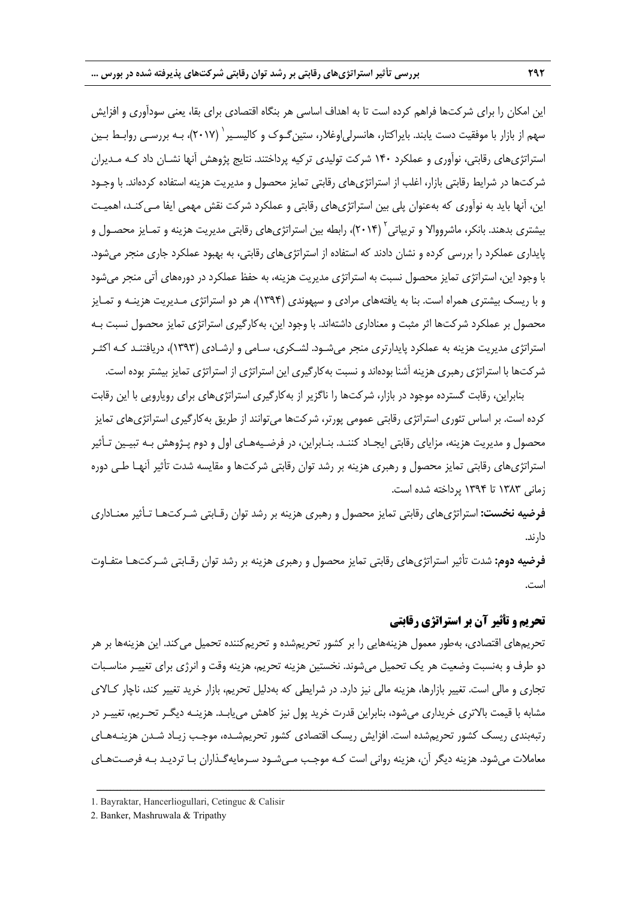اين امكان را براي شركتها فراهم كرده است تا به اهداف اساسي هر بنگاه اقتصادي براي بقا، يعني سودآوري و افزايش سهم از بازار با موفقيت دست يابند. بايراكتار، هانسرلياوغلار، ستينگـوك و كاليسـير 1 (2017)، بـه بررسـي روابـط بـين استراتژيهاي رقابتي، نوآوري و عملكرد 140 شركت توليدي تركيه پرداختند. نتايج پژوهش آنها نشـان داد كـه مـديران شركتها در شرايط رقابتي بازار، اغلب از استراتژيهاي رقابتي تمايز محصول و مديريت هزينه استفاده كردهاند. با وجـود اين، آنها بايد به نوآوري كه بهعنوان پلي بين استراتژيهاي رقابتي و عملكرد شركت نقش مهمي ايفا مـيكنـد، اهميـت يشترى بدهند. بانكر، ماشرووالا و تريپاتى<sup>۲</sup> (۲۰۱۴)، رابطه بين استراتژىهاى رقابتى مديريت هزينه و تمـايز محصـول و پايداري عملكرد را بررسي كرده و نشان دادند كه استفاده از استراتژيهاي رقابتي، به بهبود عملكرد جاري منجر ميشود. با وجود اين، استراتژي تمايز محصول نسبت به استراتژي مديريت هزينه، به حفظ عملكرد در دورههاي آتي منجر ميشود و با ريسك بيشتري همراه است. بنا به يافتههاي مرادي و سپهوندي (1394)، هر دو استراتژي مـديريت هزينـه و تمـايز محصول بر عملكرد شركتها اثر مثبت و معناداري داشتهاند. با وجود اين، بهكارگيري استراتژي تمايز محصول نسبت بـه استراتژي مديريت هزينه به عملكرد پايدارتري منجر ميشـود. لشـكري، سـامي و ارشـادي (1393)، دريافتنـد كـه اكثـر شركتها با استراتژي رهبري هزينه آشنا بودهاند و نسبت بهكارگيري اين استراتژي از استراتژي تمايز بيشتر بوده است.

بنابراين، رقابت گسترده موجود در بازار، شركتها را ناگزير از بهكارگيري استراتژيهاي براي رويارويي با اين رقابت كرده است. بر اساس تئوري استراتژي رقابتي عمومي پورتر، شركتها ميتوانند از طريق بهكارگيري استراتژيهاي تمايز محصول و مديريت هزينه، مزاياي رقابتي ايجـاد كننـد. بنـابراين، در فرضـيههـاي اول و دوم پـژوهش بـه تبيـين تـأثير استراتژيهاي رقابتي تمايز محصول و رهبري هزينه بر رشد توان رقابتي شركتها و مقايسه شدت تأثير آنهـا طـي دوره زماني 1383 تا 1394 پرداخته شده است.

**فرضيه نخست:** استراتژيهاي رقابتي تمايز محصول و رهبري هزينه بر رشد توان رقـابتي شـركتهـا تـأثير معنـاداري دارند.

**فرضيه دوم:** شدت تأثير استراتژيهاي رقابتي تمايز محصول و رهبري هزينه بر رشد توان رقـابتي شـركتهـا متفـاوت است.

# **تحريم و تأثير آن بر استراتژي رقابتي**

تحريمهاي اقتصادي، بهطور معمول هزينههايي را بر كشور تحريمشده و تحريمكننده تحميل ميكند. اين هزينهها بر هر دو طرف و بهنسبت وضعيت هر يك تحميل ميشوند. نخستين هزينه تحريم، هزينه وقت و انرژي براي تغييـر مناسـبات تجاري و مالي است. تغيير بازارها، هزينه مالي نيز دارد. در شرايطي كه بهدليل تحريم، بازار خريد تغيير كند، ناچار كـالاي مشابه با قيمت بالاتري خريداري ميشود، بنابراين قدرت خريد پول نيز كاهش مييابـد. هزينـه ديگـر تحـريم، تغييـر در رتبهبندي ريسك كشور تحريمشده است. افزايش ريسك اقتصادي كشور تحريمشـده، موجـب زيـاد شـدن هزينـههـاي معاملات ميشود. هزينه ديگر آن، هزينه رواني است كـه موجـب مـيشـود سـرمايهگـذاران بـا ترديـد بـه فرصـتهـاي

<sup>1.</sup> Bayraktar, Hancerliogullari, Cetinguc & Calisir

<sup>2.</sup> Banker, Mashruwala & Tripathy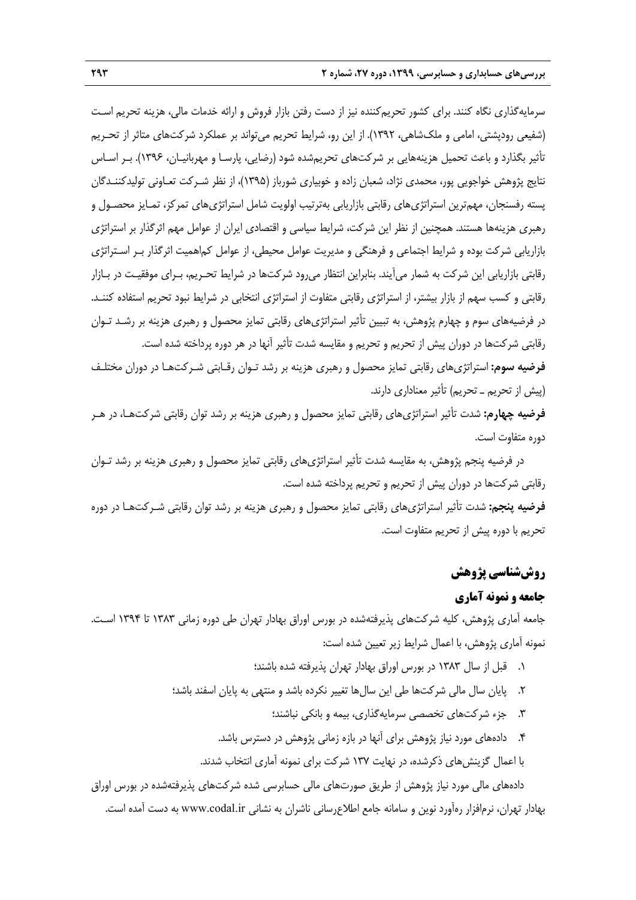سرمايهگذاري نگاه كنند. براي كشور تحريمكننده نيز از دست رفتن بازار فروش و ارائه خدمات مالي، هزينه تحريم اسـت (شفيعي رودپشتي، امامي و ملكشاهي، 1392). از اين رو، شرايط تحريم ميتواند بر عملكرد شركتهاي متاثر از تحـريم تأثير بگذارد و باعث تحميل هزينههايي بر شركتهاي تحريمشده شود (رضايي، پارسـا و مهربانيـان، 1396). بـر اسـاس نتايج پژوهش خواجويي پور، محمدي نژاد، شعبان زاده و خوبياري شورباز (1395)، از نظر شـركت تعـاوني توليدكننـدگان پسته رفسنجان، مهمترين استراتژيهاي رقابتي بازاريابي بهترتيب اولويت شامل استراتژيهاي تمركز، تمـايز محصـول و رهبري هزينهها هستند. همچنين از نظر اين شركت، شرايط سياسي و اقتصادي ايران از عوامل مهم اثرگذار بر استراتژي بازاريابي شركت بوده و شرايط اجتماعي و فرهنگي و مديريت عوامل محيطي، از عوامل كماهميت اثرگذار بـر اسـتراتژي رقابتي بازاريابي اين شركت به شمار ميآيند. بنابراين انتظار ميرود شركتها در شرايط تحـريم، بـراي موفقيـت در بـازار رقابتي و كسب سهم از بازار بيشتر، از استراتژي رقابتي متفاوت از استراتژي انتخابي در شرايط نبود تحريم استفاده كننـد. در فرضيههاي سوم و چهارم پژوهش، به تبيين تأثير استراتژيهاي رقابتي تمايز محصول و رهبري هزينه بر رشـد تـوان رقابتي شركتها در دوران پيش از تحريم و تحريم و مقايسه شدت تأثير آنها در هر دوره پرداخته شده است. **فرضيه سوم:** استراتژيهاي رقابتي تمايز محصول و رهبري هزينه بر رشد تـوان رقـابتي شـركتهـا در دوران مختلـف

(پيش از تحريم ـ تحريم) تأثير معناداري دارند. **فرضيه چهارم:** شدت تأثير استراتژيهاي رقابتي تمايز محصول و رهبري هزينه بر رشد توان رقابتي شركتهـا، در هـر دوره متفاوت است.

در فرضيه پنجم پژوهش، به مقايسه شدت تأثير استراتژيهاي رقابتي تمايز محصول و رهبري هزينه بر رشد تـوان رقابتي شركتها در دوران پيش از تحريم و تحريم پرداخته شده است.

**فرضيه پنجم:** شدت تأثير استراتژيهاي رقابتي تمايز محصول و رهبري هزينه بر رشد توان رقابتي شـركتهـا در دوره تحريم با دوره پيش از تحريم متفاوت است.

## **روششناسي پژوهش**

## **جامعه و نمونه آماري**

جامعه آماري پژوهش، كليه شركتهاي پذيرفتهشده در بورس اوراق بهادار تهران طي دوره زماني 1383 تا 1394 اسـت. نمونه آماري پژوهش، با اعمال شرايط زير تعيين شده است:

- .1 قبل از سال 1383 در بورس اوراق بهادار تهران پذيرفته شده باشند؛
- .2 پايان سال مالي شركتها طي اين سالها تغيير نكرده باشد و منتهي به پايان اسفند باشد؛
	- .3 جزء شركتهاي تخصصي سرمايهگذاري، بيمه و بانكي نباشند؛
	- .4 دادههاي مورد نياز پژوهش براي آنها در بازه زماني پژوهش در دسترس باشد.
	- با اعمال گزينشهاي ذكرشده، در نهايت 137 شركت براي نمونه آماري انتخاب شدند.

دادههاي مالي مورد نياز پژوهش از طريق صورتهاي مالي حسابرسي شده شركتهاي پذيرفتهشده در بورس اوراق بهادار تهران، نرمافزار رهآورد نوين و سامانه جامع اطلاعرساني ناشران به نشاني ir.codal.www به دست آمده است.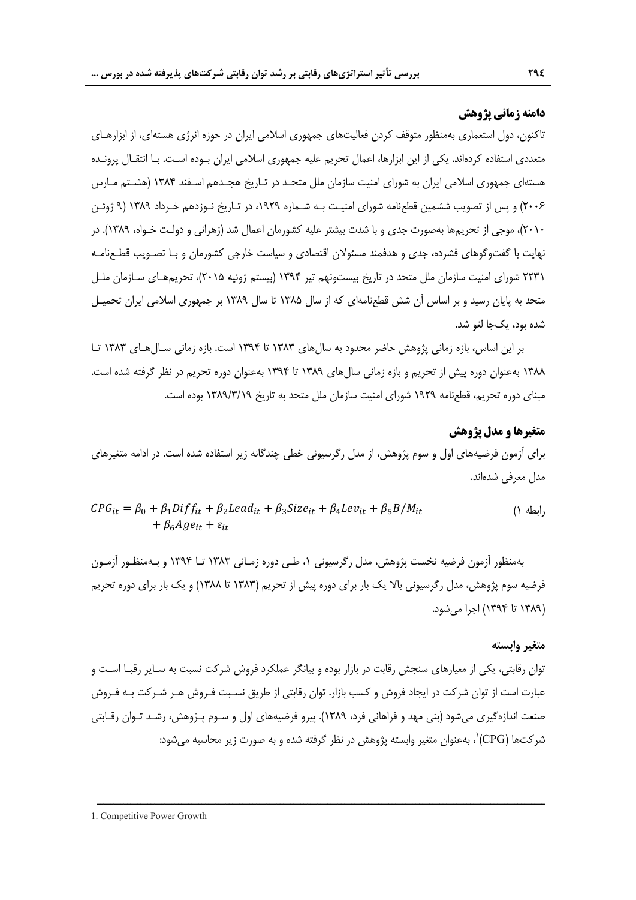### **دامنه زماني پژوهش**

تاكنون، دول استعماري بهمنظور متوقف كردن فعاليتهاي جمهوري اسلامي ايران در حوزه انرژي هستهاي، از ابزارهـاي متعددي استفاده كردهاند. يكي از اين ابزارها، اعمال تحريم عليه جمهوري اسلامي ايران بـوده اسـت. بـا انتقـال پرونـده هستهاي جمهوري اسلامي ايران به شوراي امنيت سازمان ملل متحـد در تـاريخ هجـدهم اسـفند 1384 (هشـتم مـارس 2006) و پس از تصويب ششمين قطعنامه شوراي امنيـت بـه شـماره ،1929 در تـاريخ نـوزدهم خـرداد 1389 (9 ژوئـن 2010)، موجي از تحريمها بهصورت جدي و با شدت بيشتر عليه كشورمان اعمال شد (زهراني و دولـت خـواه، 1389). در نهايت با گفتوگوهاي فشرده، جدي و هدفمند مسئولان اقتصادي و سياست خارجي كشورمان و بـا تصـويب قطـعنامـه 2231 شوراي امنيت سازمان ملل متحد در تاريخ بيستونهم تير 1394 (بيستم ژوئيه 2015)، تحريمهـاي سـازمان ملـل متحد به پايان رسيد و بر اساس آن شش قطعنامهاي كه از سال 1385 تا سال 1389 بر جمهوري اسلامي ايران تحميـل شده بود، يكجا لغو شد.

بر اين اساس، بازه زماني پژوهش حاضر محدود به سالهاي 1383 تا 1394 است. بازه زماني سـالهـاي 1383 تـا 1388 بهعنوان دوره پيش از تحريم و بازه زماني سالهاي 1389 تا 1394 بهعنوان دوره تحريم در نظر گرفته شده است. مبناي دوره تحريم، قطعنامه 1929 شوراي امنيت سازمان ملل متحد به تاريخ 1389/3/19 بوده است.

## **متغيرها و مدل پژوهش**

براي آزمون فرضيههاي اول و سوم پژوهش، از مدل رگرسيوني خطي چندگانه زير استفاده شده است. در ادامه متغيرهاي مدل معرفي شدهاند.

$$
CPG_{it} = \beta_0 + \beta_1 Diff_{it} + \beta_2 Lead_{it} + \beta_3 Size_{it} + \beta_4 Lev_{it} + \beta_5 B/M_{it}
$$
  
+  $\beta_6 Age_{it} + \varepsilon_{it}$  (1)

بهمنظور آزمون فرضيه نخست پژوهش، مدل رگرسيوني ،1 طـي دوره زمـاني 1383 تـا 1394 و بـهمنظـور آزمـون فرضيه سوم پژوهش، مدل رگرسيوني بالا يك بار براي دوره پيش از تحريم (1383 تا 1388) و يك بار براي دوره تحريم (1389 تا 1394) اجرا ميشود.

#### **متغير وابسته**

توان رقابتي، يكي از معيارهاي سنجش رقابت در بازار بوده و بيانگر عملكرد فروش شركت نسبت به سـاير رقبـا اسـت و عبارت است از توان شركت در ايجاد فروش و كسب بازار. توان رقابتي از طريق نسـبت فـروش هـر شـركت بـه فـروش صنعت اندازهگيري ميشود (بني مهد و فراهاني فرد، 1389). پيرو فرضيههاي اول و سـوم پـژوهش، رشـد تـوان رقـابتي شر كتها (CPG) ، بهعنوان متغير وابسته پژوهش در نظر گرفته شده و به صورت زير محاسبه مي شود: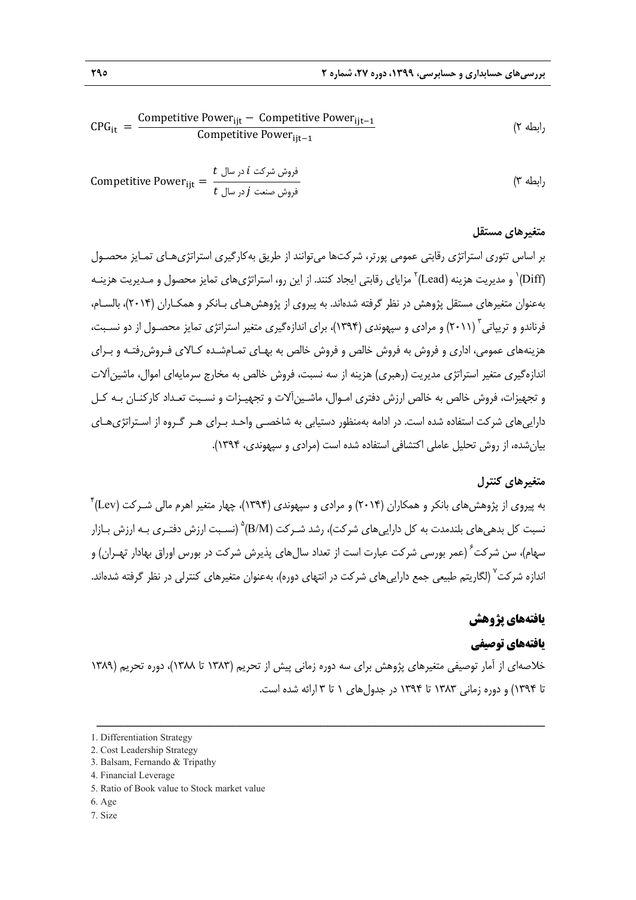$$
CPG_{it} \;=\; \frac{Competitive \; Power_{ijt} - \; Computer \; Power_{ijt-1}}{Competitive \; Power_{ijt-1}} \qquad \qquad (7 \; \text{dy})
$$

Competitive Power (3 رابطه ୧୨୲ = فروش شركت ݅ در سال ݐ فروش صنعت ݆ در سال ݐ

#### **متغيرهاي مستقل**

بر اساس تئوري استراتژي رقابتي عمومي پورتر، شركتها ميتوانند از طريق بهكارگيري استراتژيهـاي تمـايز محصـول و مديريت هزينه (Lead)<sup>۲</sup> مزاياي رقابتي ايجاد كنند. از اين رو، استراتژيهاي تمايز محصول و مـديريت هزينـه "(Diff بهعنوان متغيرهاي مستقل پژوهش در نظر گرفته شدهاند. به پيروي از پژوهشهـاي بـانكر و همكـاران (2014)، بالسـام، فرناندو و تريپاتي (٢٠١١) و مرادي و سپهوندي (١٣٩۴)، براي اندازهگيري متغير استراتژي تمايز محصـول از دو نسـبت، هزينههاي عمومي، اداري و فروش به فروش خالص و فروش خالص به بهـاي تمـامشـده كـالاي فـروشرفتـه و بـراي اندازهگيري متغير استراتژي مديريت (رهبري) هزينه از سه نسبت، فروش خالص به مخارج سرمايهاي اموال، ماشين آلات و تجهيزات، فروش خالص به خالص ارزش دفتري امـوال، ماشـينآلات و تجهيـزات و نسـبت تعـداد كاركنـان بـه كـل داراييهاي شركت استفاده شده است. در ادامه بهمنظور دستيابي به شاخصـي واحـد بـراي هـر گـروه از اسـتراتژيهـاي بيانشده، از روش تحليل عاملي اكتشافي استفاده شده است (مرادي و سپهوندي، 1394).

## **متغيرهاي كنترل**

به پيروي از پژوهشهاي بانكر و همكاران (2014) و مرادي و سپهوندي (1394)، چهار متغير اهرم مالي شـركت (Lev( 4 نسبت كل بدهي هاي بلندمدت به كل دارايي هاي شركت)، رشد شـركت (B/M) ْ (نسـبت ارزش دفتـري بـه ارزش بـازار سهام)، سن شركت ٌ (عمر بورسى شركت عبارت است از تعداد سال@اى پذيرش شركت در بورس اوراق بهادار تهـران) و اندازه شركت<sup>۷</sup> (لگاريتم طبيعي جمع دارايي هاي شركت در انتهاي دوره)، بهعنوان متغيرهاي كنترلي در نظر گرفته شدهاند.

#### **يافتههاي پژوهش**

#### **يافتههاي توصيفي**

خلاصهاي از آمار توصيفي متغيرهاي پژوهش براي سه دوره زماني پيش از تحريم (1383 تا 1388)، دوره تحريم (1389 تا 1394) و دوره زماني 1383 تا 1394 در جدولهاي 1 تا 3 ارائه شده است.

ــــــــــــــــــــــــــــــــــــــــــــــــــــــــــــــــــــــــــــــــــــــــــــــــــــــــــــــــــــــــــــــــــــ

3. Balsam, Fernando & Tripathy

- 6. Age
- 7. Size

<sup>1.</sup> Differentiation Strategy

<sup>2.</sup> Cost Leadership Strategy

<sup>4.</sup> Financial Leverage

<sup>5.</sup> Ratio of Book value to Stock market value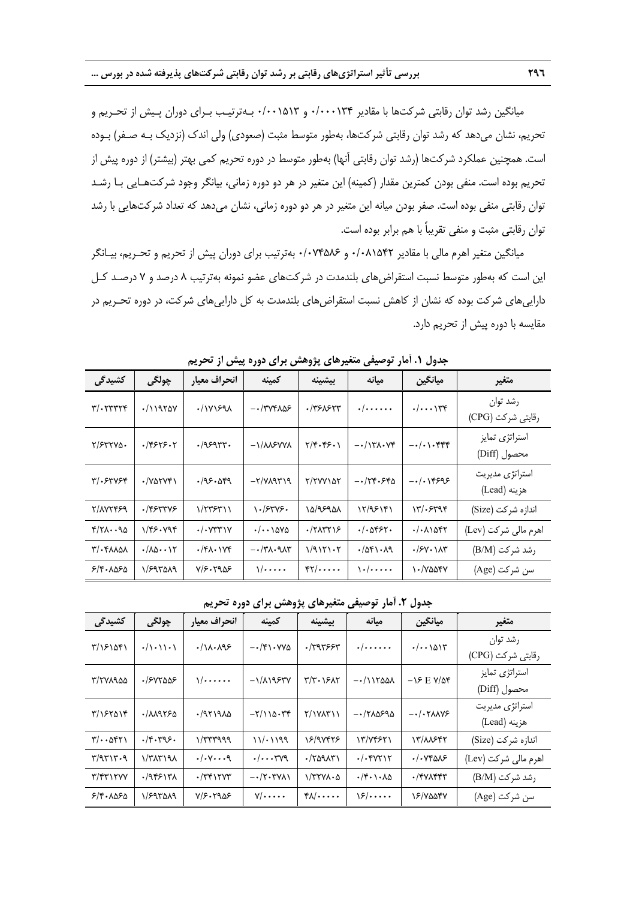ميانگين رشد توان رقابتي شركتها با مقادير 0/000134 و 0/001513 بـهترتيـب بـراي دوران پـيش از تحـريم و تحريم، نشان ميدهد كه رشد توان رقابتي شركتها، بهطور متوسط مثبت (صعودي) ولي اندك (نزديك بـه صـفر) بـوده است. همچنين عملكرد شركتها (رشد توان رقابتي آنها) بهطور متوسط در دوره تحريم كمي بهتر (بيشتر) از دوره پيش از تحريم بوده است. منفي بودن كمترين مقدار (كمينه) اين متغير در هر دو دوره زماني، بيانگر وجود شركتهـايي بـا رشـد توان رقابتي منفي بوده است. صفر بودن ميانه اين متغير در هر دو دوره زماني، نشان ميدهد كه تعداد شركتهايي با رشد توان رقابتي مثبت و منفي تقريباً با هم برابر بوده است.

ميانگين متغير اهرم مالي با مقادير 0/081542 و 0/074586 بهترتيب براي دوران پيش از تحريم و تحـريم، بيـانگر اين است كه بهطور متوسط نسبت استقراضهاي بلندمدت در شركتهاي عضو نمونه بهترتيب 8 درصد و 7 درصـد كـل داراييهاي شركت بوده كه نشان از كاهش نسبت استقراضهاي بلندمدت به كل داراييهاي شركت، در دوره تحـريم در مقايسه با دوره پيش از تحريم دارد.

| كشيدگى                                  | چولگى                                                    | انحراف معيار                           | كمينه                                                                  | بيشينه                    | مىانە                                        | ميانگين                       | متغير                           |
|-----------------------------------------|----------------------------------------------------------|----------------------------------------|------------------------------------------------------------------------|---------------------------|----------------------------------------------|-------------------------------|---------------------------------|
| $\mathbf{y}/\mathbf{y}$                 | $\cdot$ /11955 $\vee$                                    | $\cdot$ / $\gamma$ $\gamma$ ۶۹۸        | $ \cdot$ $/$ $\uparrow$ $\vee$ $\uparrow$ $\wedge$ $\wedge$ $\uparrow$ | .7750577                  | $\cdot/\cdots\cdot$                          | . / 114                       | رشد توان<br>رقابتی شرکت (CPG)   |
| $Y/FYY\Delta$                           | .79555.7                                                 | .79595                                 | $-\frac{1}{\Lambda}$                                                   | Y/F. F5.1                 | $-\cdot/17\lambda\cdot\mathsf{V}$            | $-\cdot/\cdot\cdot$ ۴۴۴       | استراتژى تمايز<br>محصول (Diff)  |
| $\mathbf{y}/\mathbf{0}$                 | $\cdot$ / $V\Delta VY$                                   | .195.099                               | $-Y/Y$                                                                 | <b>T/TVVIDT</b>           | $-174.880$                                   | $-1.18999$                    | استراتژی مدیریت<br>هزينه (Lead) |
| 7/177459                                | $.$ /۴۶۳۳۷۶                                              | 1/۲۳۶۳۱۱                               | $\frac{1.78498.}{2.6022}$                                              | ۱۵/۹۶۹۵۸                  | 12/98141                                     | ۱۳/۰۶۳۹۴                      | اندازه شركت (Size)              |
| $Y/Y\Lambda\cdot\cdot\mathcal{A}\Delta$ | 1/48.494                                                 | $\cdot$ / $\cdot$ $\vee$ $\vee$ $\vee$ | $\cdot/\cdot\cdot\wedge\Delta V\Delta$                                 | $\cdot$ /٢ $\lambda$ ۳۲۱۶ | $. / .$ $\Delta$ ۴۶۲.                        | $. / .$ $\Lambda$ $\delta$ ۴۲ | اهرم مالی شرکت (Lev)            |
| $\mathcal{N}/\cdot\mathcal{N}$          | $\cdot$ / $\Lambda$ $\Delta$ $\cdot$ $\cdot$ $\Lambda$ r | $\cdot$ /۴۸ $\cdot$ ۱۷۴                | $-\cdot$ /٣ $\lambda$ $\cdot$ ٩ $\lambda$ ۳                            | 1/9111.7                  | .7081.19                                     | $\cdot$ / $\frac{5}{10}$      | رشد شركت (B/M)                  |
| 5/8.1050                                | ۱/۶۹۳۵۸۹                                                 | Y/S. YYQ                               | $\sqrt{\cdots}$                                                        | FT/                       | $\left\{ \cdot/\cdot\cdot\cdot\cdot\right\}$ | ۱۰/۷۵۵۴۷                      | سن شركت (Age)                   |

**جدول .1 آمار توصيفي متغيرهاي پژوهش براي دوره پيش از تحريم** 

**جدول .2 آمار توصيفي متغيرهاي پژوهش براي دوره تحريم** 

| كشيدگي                                                     | چولگى                        | انحراف معيار         | كمينه                | بيشينه                        | مىانە                                   | ميانگين                                      | متغير                           |
|------------------------------------------------------------|------------------------------|----------------------|----------------------|-------------------------------|-----------------------------------------|----------------------------------------------|---------------------------------|
| ٣/١۶١۵۴١                                                   | $\cdot/\cdot\cdot\cdot\cdot$ | $./\lambda.$         | $-\cdot$ /۴۱۰۷۷۵     | .7999997                      | $\cdot/\cdot\cdot\cdot\cdot\cdot$       | $\cdot/\cdot\cdot\right)$                    | رشد توان<br>رقابتی شرکت (CPG)   |
| T/TYA900                                                   | ۶۷۲۵۵۶                       | $\sqrt{\cdots}$      | $-\frac{1}{\Lambda}$ | $Y/Y \cdot YYAY$              | $-111500$                               | $-\lambda 5$ E $V/\Delta f$                  | استراتژى تمايز<br>محصول (Diff)  |
| $\frac{8}{15}$                                             | 1/M950                       | $19719A\Delta$       | $-\frac{1}{100}$     | Y/1YAY                        | $-1710590$                              | $-\cdot/\cdot\text{Y}\Lambda\Lambda\text{V}$ | استراتژی مدیریت<br>هزينه (Lead) |
| $\Gamma/\cdot\cdot\Delta\mathfrak{f}$                      | .49.79.5                     | $\frac{1}{\sqrt{2}}$ | 11/2199              | 18/98448                      | 13/74871                                | <b>IT/ALSTY</b>                              | اندازه شركت (Size)              |
| $\mathbf{y}/\mathbf{q}\mathbf{y}\mathbf{y}\cdot\mathbf{q}$ | $\frac{1}{\sqrt{2}}$         | $. / . V \cdots q$   | $. / v \vee q$       | $\cdot$ $(Y\Delta Y\Delta Y)$ | $. / .$ $YYYYY$                         | $\cdot$ / $\cdot$ $\vee$ ۴۵۸۶                | اهرم مالی شرکت (Lev)            |
| Y/YYYYYY                                                   | .795517A                     | $\cdot$ /٣۴١٢٧٣      | $-\cdot$ /۲۰۳۷۸۱     | $\frac{1}{\sqrt{1}}$          | $\cdot$ /۴ $\cdot$ \ $\cdot$ \ $\Delta$ | $\cdot$ /٣٧٨۴۴٣                              | رشد شركت (B/M)                  |
| 5/8.1050                                                   | 1/597019                     | Y/S. YYQ             | $V/\cdots$           | $f \wedge / \cdots$           | $\frac{5}{15}$                          | <b>IS/VOOTY</b>                              | سن شركت (Age)                   |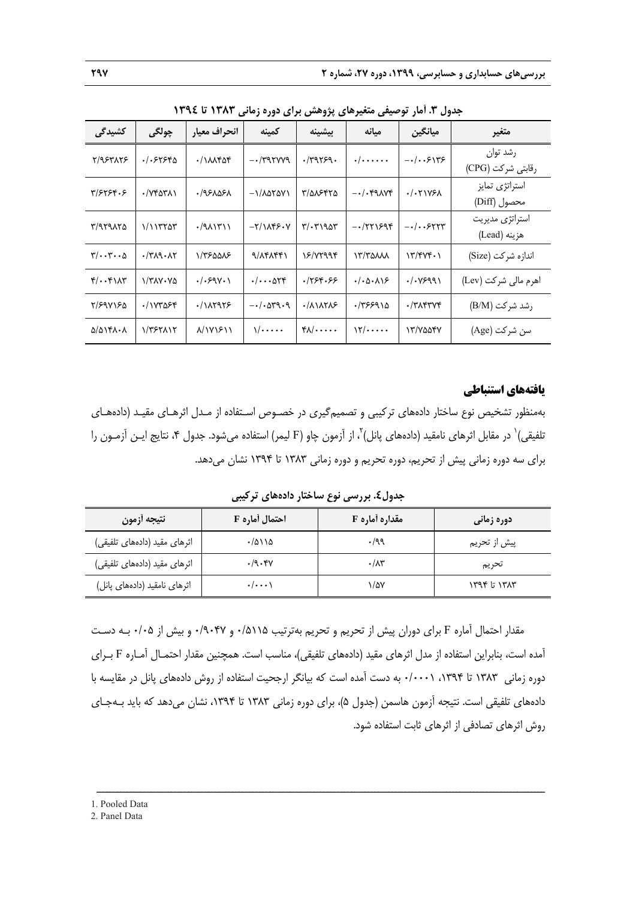| جنون ۰٫۰٪ تر ترتیبی شنیز سی پروسس بر ی تورد رنگی      |                                            |                                |                              |                                           |                      |                                 |                                 |
|-------------------------------------------------------|--------------------------------------------|--------------------------------|------------------------------|-------------------------------------------|----------------------|---------------------------------|---------------------------------|
| كشيدگى                                                | چولگى                                      | انحراف معيار                   | كمينه                        | بيشينه                                    | مىانە                | ميانگين                         | متغير                           |
| 5/953175                                              | ٠/٠۶٢۶۴۵                                   | $\cdot$ / $\Lambda\Lambda$ ۴۵۴ | $-$ /۳۹۲۷۷۹                  | .79159.                                   | $\cdot/\cdots\cdot$  | $-1.59175$                      | رشد توان<br>رقابتی شرکت (CPG)   |
| ۳/۶۲۶۴۰۶                                              | $\cdot$ / $\vee$ ۴۵۳۸۱                     | ۰/۹۶۸۵۶۸                       | $-1/\lambda\Delta Y\Delta V$ | T/QASTTQ                                  | $-\cdot/\cdot$ ۴۹۸۷۴ | $. / .71V$ ۶۸                   | استراتژی تمایز<br>محصول (Diff)  |
| T/959150                                              | 1/11                                       | $\cdot$ /91/13/1               | $-Y/\lambda Y^2 \cdot Y$     | $\mathbf{r}/\mathbf{r}$                   | $-1771998$           | $-1.5511$                       | استراتژی مدیریت<br>هزينه (Lead) |
| $\mathbf{y}/\cdot\cdot\mathbf{y}\cdot\cdot\mathbf{v}$ | $\cdot$ /٣ $\Lambda$ ۹ $\cdot$ $\Lambda$ ٢ | ١/٣۶۵۵٨۶                       | 9/14157                      | Y/YYQQY                                   | $\frac{17}{70}$      | $Y''/Y'' + 1$                   | اندازه شركت (Size)              |
| $f/\cdots f$ $\Lambda$                                | 1/۳۸۷۰۷۵                                   | . / .59V.                      | $. /$ $\Delta \Upsilon f$    | .759.55                                   | $-(0.001)$           | $\cdot/\cdot$ YS99)             | اهرم مالی شرکت (Lev)            |
| 8/898180                                              | ·/ <i>\ V</i> \* $\delta$ > \*             | $. / \lambda$                  | $-\cdot/\cdot\Delta r$ 9.9   | $\cdot$ / $\wedge$ $\wedge\wedge\wedge$ ۶ | ۰/۳۶۶۹۱۵             | $\cdot$ /٣ $\wedge$ ۴۳ $\vee$ ۴ | رشد شركت (B/M)                  |
| $\Delta/\Delta$ $\gamma$ .                            | 1/٣۶٢٨١٢                                   | $\lambda/\frac{1}{\gamma}$     | $\sqrt{\cdots}$              | $f \wedge / \cdots$                       | $\frac{1}{\sqrt{2}}$ | IT/YOOFY                        | سن شركت (Age)                   |

**جدول .3 آمار توصيفي متغيرهاي پژوهش براي دوره زماني 1383 تا 1394**

#### **يافتههاي استنباطي**

بهمنظور تشخيص نوع ساختار دادههاي تركيبي و تصميمگيري در خصـوص اسـتفاده از مـدل اثرهـاي مقيـد (دادههـاي نلفيقى) $^{\backprime}$  در مقابل اثرهاى نامقيد (دادههاى پانل) $^{\backprime}$  از آزمون چاو  $\rm{F})$  ليمر) استفاده مىشود. جدول ۴، نتايج ايـن آزمـون را براي سه دوره زماني پيش از تحريم، دوره تحريم و دوره زماني 1383 تا 1394 نشان ميدهد.

**جدول.4 بررسي نوع ساختار دادههاي تركيبي** 

| نتيجه أزمون                  | احتمال أماره F | <b>مقداره أماره F</b> | دوره زمانی      |
|------------------------------|----------------|-----------------------|-----------------|
| اثرهای مقید (دادههای تلفیقی) | $\cdot$ /۵۱۱۵  | $\cdot$ /99           | پیش از تحریم    |
| اثرهای مقید (دادههای تلفیقی) | .4.4           | $\cdot/\lambda$ ۳     | تحريم           |
| اثرهای نامقید (دادههای پانل) | $\cdot/\cdots$ | ۱/۵۷                  | $1496$ is $147$ |

مقدار احتمال آماره F براي دوران پيش از تحريم و تحريم بهترتيب 0/5115 و 0/9047 و بيش از 0/05 بـه دسـت آمده است، بنابراين استفاده از مدل اثرهاي مقيد (دادههاي تلفيقي)، مناسب است. همچنين مقدار احتمـال آمـاره F بـراي دوره زماني ١٣٨٣ تا ١٣٩٤، ٠/٠٠٠١ به دست آمده است كه بيانگر ارجحيت استفاده از روش دادههاي پانل در مقايسه با دادههاي تلفيقي است. نتيجه آزمون هاسمن (جدول 5)، براي دوره زماني 1383 تا ،1394 نشان ميدهد كه بايد بـهجـاي روش اثرهاي تصادفي از اثرهاي ثابت استفاده شود.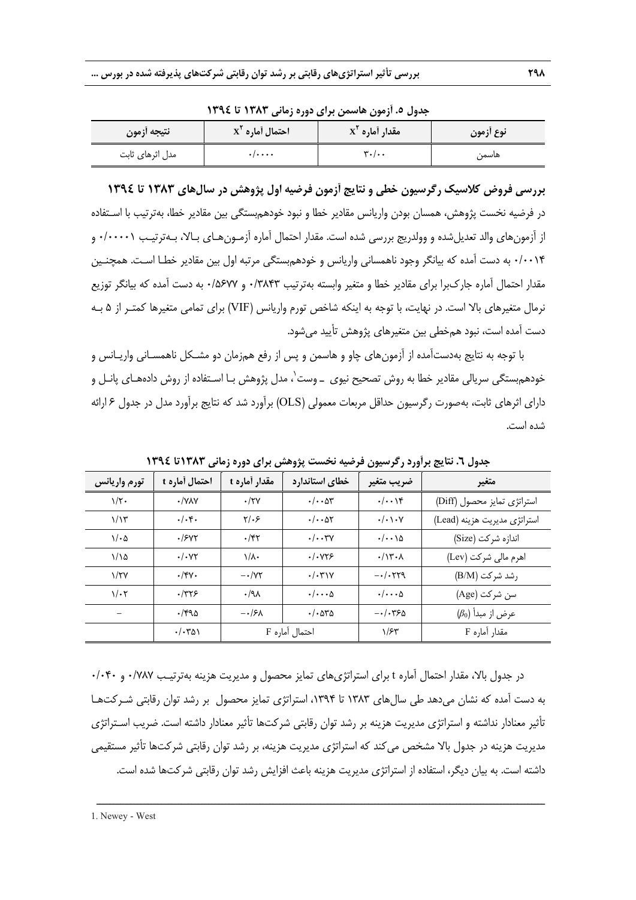| - - - - - - -   |                                   |                                       |           |  |  |
|-----------------|-----------------------------------|---------------------------------------|-----------|--|--|
| ا نتيجه أزمون   | $X^{\mathsf{T}}$ احتمال أماره     | $\mathbf{x}^{\mathsf{r}}$ مقدار أماره | نوع أزمون |  |  |
| مدل اثرهای ثابت | $\cdot$ / $\cdot$ $\cdot$ $\cdot$ | $\mathbf{v}$ ./                       | هاسمن     |  |  |

**جدول .5 آزمون هاسمن براي دوره زماني 1383 تا 1394** 

**بررسي فروض كلاسيك رگرسيون خطي و نتايج آزمون فرضيه اول پژوهش در سالهاي 1383 تا 1394** در فرضيه نخست پژوهش، همسان بودن واريانس مقادير خطا و نبود خودهمبستگي بين مقادير خطا، بهترتيب با اسـتفاده از آزمونهاي والد تعديلشده و وولدريج بررسي شده است. مقدار احتمال آماره آزمـونهـاي بـالا، بـهترتيـب 0/00001 و 0/0014 به دست آمده كه بيانگر وجود ناهمساني واريانس و خودهمبستگي مرتبه اول بين مقادير خطـا اسـت. همچنـين مقدار احتمال آماره جاركبرا براي مقادير خطا و متغير وابسته بهترتيب 0/3843 و 0/5677 به دست آمده كه بيانگر توزيع نرمال متغيرهاي بالا است. در نهايت، با توجه به اينكه شاخص تورم واريانس (VIF (براي تمامي متغيرها كمتـر از 5 بـه دست آمده است، نبود همخطي بين متغيرهاي پژوهش تأييد ميشود.

با توجه به نتايج بهدستآمده از آزمونهاي چاو و هاسمن و پس از رفع همزمان دو مشـكل ناهمسـاني واريـانس و خودهم,بستگ*ی* سريال*ی* مقادير خطا به روش تصحيح نيوی ــ وست`، مدل پژوهش بـا اسـتفاده از روش دادههـای پانــل و داراي اثرهاي ثابت، بهصورت رگرسيون حداقل مربعات معمولي (OLS (برآورد شد كه نتايج برآورد مدل در جدول 6 ارائه شده است.

| تورم واريانس         | احتمال أماره t       | مقدار أماره t            | خطاي استاندارد                             | ضريب متغير                       | متغير                        |
|----------------------|----------------------|--------------------------|--------------------------------------------|----------------------------------|------------------------------|
| $1/\tau$ .           | $\cdot$ /YAY         | $\cdot$ /۲۷              | $\cdot/\cdot\cdot\Delta r$                 | . /                              | استراتژی تمایز محصول (Diff)  |
| $1/\gamma$           | $\cdot/\cdot$ ۴۰     | $Y/\cdot 5$              | $\cdot/\cdot\cdot\Delta Y$                 | $\cdot/\cdot\setminus\cdot\vee$  | استراتژی مدیریت هزینه (Lead) |
| $1/\cdot \Delta$     | .7907                | $\cdot$ /۴۲              | . /                                        | $\cdot/\cdot\cdot\wedge\Delta$   | اندازه شركت (Size)           |
| 1/10                 | $\cdot/\cdot$ YY     | $\lambda/\lambda$        | .1.975                                     | $\cdot/\gamma$ ۳ $\cdot \lambda$ | اهرم مالی شرکت (Lev)         |
| $\frac{1}{\sqrt{1}}$ | $\cdot$ /۴۷ $\cdot$  | $ \cdot$ / $\vee$ $\vee$ | . / .71V                                   | $-$ ./.779                       | رشد شركت (B/M)               |
| $1/\cdot 7$          | ۰/۳۲۶                | $.4\lambda$              | $\cdot/\cdots$ $\Delta$                    | $\cdot/\cdots$ $\Delta$          | سن شركت (Age)                |
|                      | $\cdot$ /۴۹۵         | $-\cdot$ /۶ $\Lambda$    | $\cdot$ / $\cdot$ $\Delta$ $\sim$ $\Delta$ | $-1.550$                         | $(\beta_0)$ عرض از مبدأ      |
|                      | $\cdot/\cdot\tau$ ۵۱ |                          | احتمال آماره F                             | 1/FY                             | مقدار آماره F                |

**جدول .6 نتايج برآورد رگرسيون فرضيه نخست پژوهش براي دوره زماني 1383تا 1394** 

در جدول بالا، مقدار احتمال آماره t براي استراتژيهاي تمايز محصول و مديريت هزينه بهترتيـب 0/787 و 0/040 به دست آمده كه نشان ميدهد طي سالهاي 1383 تا ،1394 استراتژي تمايز محصول بر رشد توان رقابتي شـركتهـا تأثير معنادار نداشته و استراتژي مديريت هزينه بر رشد توان رقابتي شركتها تأثير معنادار داشته است. ضريب اسـتراتژي مديريت هزينه در جدول بالا مشخص ميكند كه استراتژي مديريت هزينه، بر رشد توان رقابتي شركتها تأثير مستقيمي داشته است. به بيان ديگر، استفاده از استراتژي مديريت هزينه باعث افزايش رشد توان رقابتي شركتها شده است.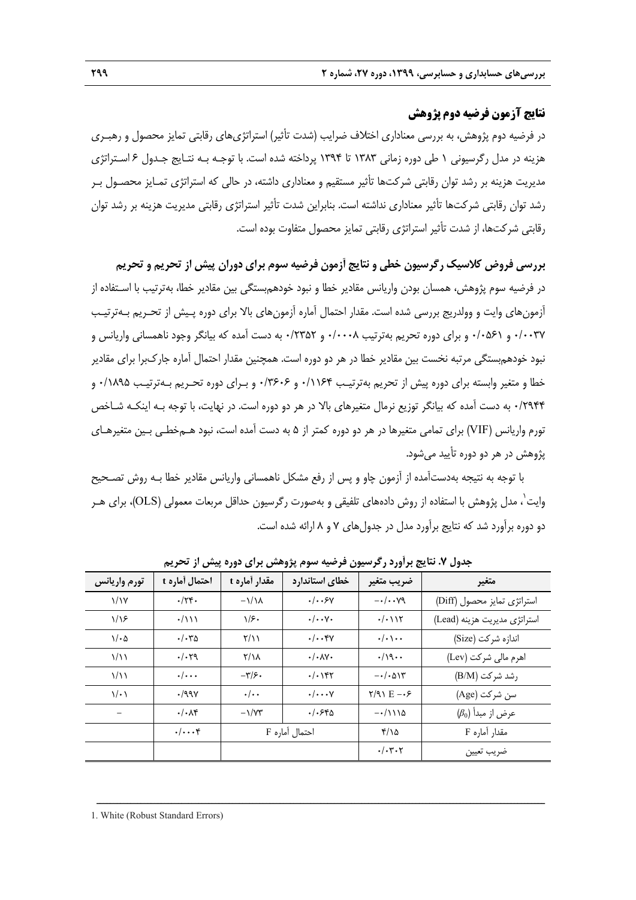# **نتايج آزمون فرضيه دوم پژوهش**

در فرضيه دوم پژوهش، به بررسي معناداري اختلاف ضرايب (شدت تأثير) استراتژيهاي رقابتي تمايز محصول و رهبـري هزينه در مدل رگرسيوني 1 طي دوره زماني 1383 تا 1394 پرداخته شده است. با توجـه بـه نتـايج جـدول 6 اسـتراتژي مديريت هزينه بر رشد توان رقابتي شركتها تأثير مستقيم و معناداري داشته، در حالي كه استراتژي تمـايز محصـول بـر رشد توان رقابتي شركتها تأثير معناداري نداشته است. بنابراين شدت تأثير استراتژي رقابتي مديريت هزينه بر رشد توان رقابتي شركتها، از شدت تأثير استراتژي رقابتي تمايز محصول متفاوت بوده است.

**بررسي فروض كلاسيك رگرسيون خطي و نتايج آزمون فرضيه سوم براي دوران پيش از تحريم و تحريم**  در فرضيه سوم پژوهش، همسان بودن واريانس مقادير خطا و نبود خودهمبستگي بين مقادير خطا، بهترتيب با اسـتفاده از آزمونهاي وايت و وولدريج بررسي شده است. مقدار احتمال آماره آزمونهاي بالا براي دوره پـيش از تحـريم بـهترتيـب 0/0037 و 0/0561 و براي دوره تحريم بهترتيب 0/0008 و 0/2352 به دست آمده كه بيانگر وجود ناهمساني واريانس و نبود خودهمبستگي مرتبه نخست بين مقادير خطا در هر دو دوره است. همچنين مقدار احتمال آماره جاركبرا براي مقادير خطا و متغير وابسته براي دوره پيش از تحريم بهترتيـب 0/1164 و 0/3606 و بـراي دوره تحـريم بـهترتيـب 0/1895 و 0/2944 به دست آمده كه بيانگر توزيع نرمال متغيرهاي بالا در هر دو دوره است. در نهايت، با توجه بـه اينكـه شـاخص تورم واريانس (VIF (براي تمامي متغيرها در هر دو دوره كمتر از 5 به دست آمده است، نبود هـمخطـي بـين متغيرهـاي پژوهش در هر دو دوره تأييد ميشود.

با توجه به نتيجه بهدستآمده از آزمون چاو و پس از رفع مشكل ناهمساني واريانس مقادير خطا بـه روش تصـحيح وايت`، مدل پژوهش با استفاده از روش دادههای تلفيقی و بهصورت رگرسيون حداقل مربعات معمولی (OLS)، برای هــر دو دوره برآورد شد كه نتايج برآورد مدل در جدولهاي 7 و 8 ارائه شده است.

| تورم واريانس     | ً احتمال أماره t        | مقدار أماره t        | خطاي استاندارد                     | ضريب متغير                       | متغير                        |
|------------------|-------------------------|----------------------|------------------------------------|----------------------------------|------------------------------|
| $\frac{1}{1}$    | $\cdot$ /۲۴.            | $-\frac{1}{\lambda}$ | $. .$ ۶۷                           | $-\cdot/\cdot\cdot$ $\vee$ 9     | استراتژی تمایز محصول (Diff)  |
| 1/35             | $\cdot$ /111            | $1/\epsilon$         | $\cdot/\cdot\cdot$ $\vee\cdot$     | $\cdot/\cdot$ ) $\Upsilon$       | استراتژی مدیریت هزینه (Lead) |
| $1/\cdot \Delta$ | $./-$ ۳۵                | $\frac{1}{2}$        | . /                                | $\cdot/\cdot\setminus\cdot\cdot$ | اندازه شركت (Size)           |
| $\frac{1}{2}$    | .1.79                   | $Y/\lambda$          | $\cdot/\cdot \text{AV}$            | $\cdot/\sqrt{9}\cdot$            | اهرم مالی شرکت (Lev)         |
| $\frac{1}{2}$    | $\cdot/\cdot\cdot\cdot$ | $-\frac{1}{2}$       | $\cdot/\cdot$ \ $\uparrow\uparrow$ | $-\cdot/\cdot\Delta$ $\Upsilon$  | رشد شركت (B/M)               |
| $\sqrt{\cdot}$   | .199V                   | $\cdot/\cdot$        | $\cdot/\cdots$ Y                   | $Y/91 E - F$                     | سن شركت (Age)                |
|                  | $\cdot/\cdot\Lambda$ ۴  | $-\frac{1}{Y}$       | .1.540                             | $-\cdot/111\Delta$               | $(\beta_0)$ عرض از مبدأ      |
|                  | $. $ ۴                  |                      | احتمال آماره F                     | ۲/۱۵                             | مقدار آماره F                |
|                  |                         |                      |                                    | $\cdot/\cdot$ ۳۰۲                | ضريب تعيين                   |

ــــــــــــــــــــــــــــــــــــــــــــــــــــــــــــــــــــــــــــــــــــــــــــــــــــــــــــــــــــــــــــــــــــ

**جدول .7 نتايج برآورد رگرسيون فرضيه سوم پژوهش براي دوره پيش از تحريم** 

1. White (Robust Standard Errors)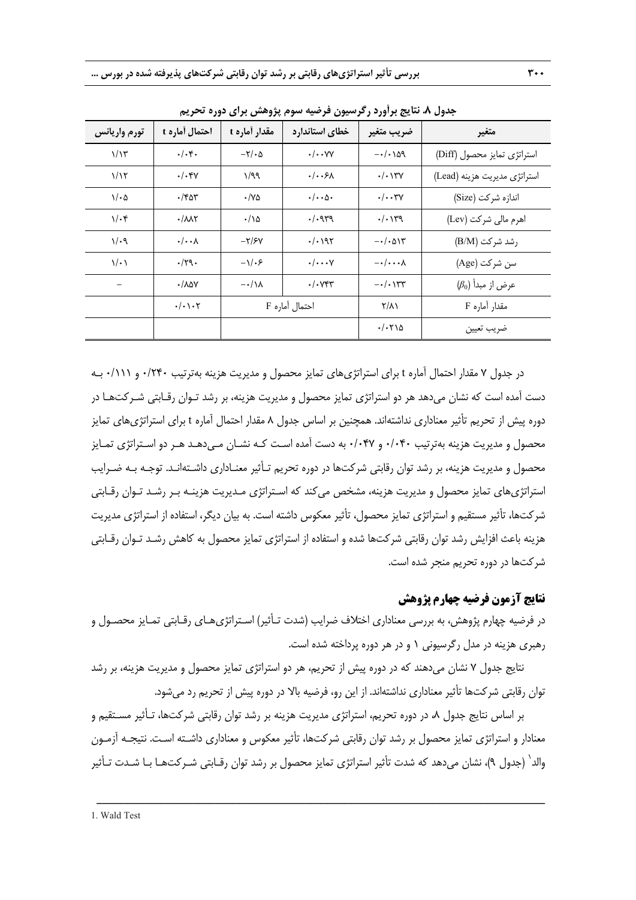|                  | 17…Z                               | ں .ر ب<br><i>_______</i>   |                                | <i>, , , ,</i> , c.                 | ັ∕ ∙                         |
|------------------|------------------------------------|----------------------------|--------------------------------|-------------------------------------|------------------------------|
| تورم واريانس     | احتمال أماره t                     | مقدار أماره t              | خطاي استاندارد                 | ضريب متغير                          | متغير                        |
| $1/\lambda$ ۳    | .4.8.                              | $-\tau$ / $\cdot$ $\Delta$ | $\cdot/\cdot\cdot$ YY          | $-\cdot/\cdot\setminus\Delta Q$     | استراتژی تمایز محصول (Diff)  |
| 1/15             | $\cdot/\cdot$ ۴۷                   | 1/99                       | $. .$ ۶۸                       | $\cdot/\cdot$ \ $\mathsf{YV}$       | استراتژی مدیریت هزینه (Lead) |
| $1/\cdot \Delta$ | ۰/۴۵۳                              | ۰/۷۵                       | $\cdot/\cdot\cdot$ $\wedge$    | $\cdot/\cdot\cdot$ ۳ $\gamma$       | اندازه شركت (Size)           |
| $1/\cdot$ ۴      | $\cdot / \lambda \lambda \Upsilon$ | $\cdot/\lambda$            | .4.949                         | $. / . \gamma$                      | اهرم مالی شرکت (Lev)         |
| $1/\cdot9$       | $\cdot/\cdot\cdot\lambda$          | $-\frac{y}{x}$             | $\cdot/\cdot$ 195              | $-\cdot/\cdot\Delta$ $\Upsilon$     | رشد شركت (B/M)               |
| $\sqrt{\cdot}$   | $\cdot$ /۲۹.                       | $-\sqrt{.5}$               | $\cdot/\cdots$ Y               | $-\cdot/\cdot\cdot\cdot\Lambda$     | سن شركت (Age)                |
|                  | $\cdot$ / $\Lambda$ $\Delta V$     | $-\cdot/\lambda$           | $\cdot$ / $\cdot$ $\forall$ ۴۳ | $-\cdot/\cdot$ \ $\Upsilon\Upsilon$ | $(\beta_0)$ عرض از مبدأ      |
|                  | $\cdot/\cdot\setminus\cdot\tau$    |                            | احتمال آماره F                 | $Y/\lambda$                         | مقدار آماره F                |
|                  |                                    |                            |                                | $\cdot/\cdot$ $\uparrow\uparrow$    | ضريب تعيين                   |

**جدول .8 نتايج برآورد رگرسيون فرضيه سوم پژوهش براي دوره تحريم** 

در جدول 7 مقدار احتمال آماره t براي استراتژيهاي تمايز محصول و مديريت هزينه بهترتيب 0/240 و 0/111 بـه دست آمده است كه نشان ميدهد هر دو استراتژي تمايز محصول و مديريت هزينه، بر رشد تـوان رقـابتي شـركتهـا در دوره پيش از تحريم تأثير معناداري نداشتهاند. همچنين بر اساس جدول 8 مقدار احتمال آماره t براي استراتژيهاي تمايز محصول و مديريت هزينه بهترتيب 0/040 و 0/047 به دست آمده اسـت كـه نشـان مـيدهـد هـر دو اسـتراتژي تمـايز محصول و مديريت هزينه، بر رشد توان رقابتي شركتها در دوره تحريم تـأثير معنـاداري داشـته انـد. توجـه بـه ضـرايب استراتژيهاي تمايز محصول و مديريت هزينه، مشخص ميكند كه اسـتراتژي مـديريت هزينـه بـر رشـد تـوان رقـابتي شركتها، تأثير مستقيم و استراتژي تمايز محصول، تأثير معكوس داشته است. به بيان ديگر، استفاده از استراتژي مديريت هزينه باعث افزايش رشد توان رقابتي شركتها شده و استفاده از استراتژي تمايز محصول به كاهش رشـد تـوان رقـابتي شركتها در دوره تحريم منجر شده است.

# **نتايج آزمون فرضيه چهارم پژوهش**

در فرضيه چهارم پژوهش، به بررسي معناداري اختلاف ضرايب (شدت تـأثير) اسـتراتژيهـاي رقـابتي تمـايز محصـول و رهبري هزينه در مدل رگرسيوني 1 و در هر دوره پرداخته شده است.

نتايج جدول 7 نشان ميدهند كه در دوره پيش از تحريم، هر دو استراتژي تمايز محصول و مديريت هزينه، بر رشد توان رقابتي شركتها تأثير معناداري نداشتهاند. از اين رو، فرضيه بالا در دوره پيش از تحريم رد ميشود.

بر اساس نتايج جدول ٨، در دوره تحريم، استراتژي مديريت هزينه بر رشد توان رقابتي شركتها، تـأثير مسـتقيم و معنادار و استراتژي تمايز محصول بر رشد توان رقابتي شركتها، تأثير معكوس و معناداري داشـته اسـت. نتيجـه آزمـون والد` (جدول ۹)، نشان ميدهد كه شدت تأثير استراتژي تمايز محصول بر رشد توان رقـابتي شـركتهـا بـا شـدت تـأثير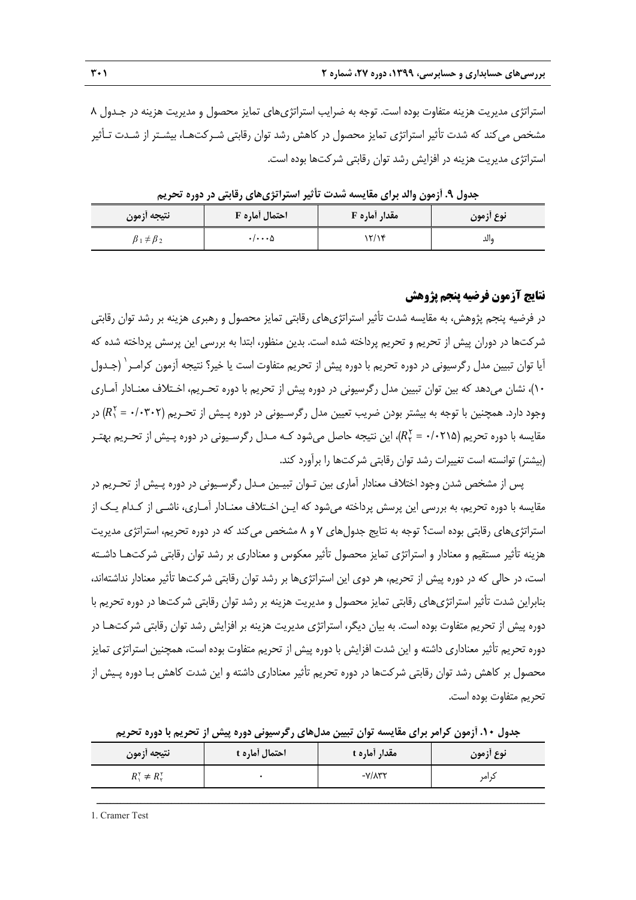استراتژي مديريت هزينه متفاوت بوده است. توجه به ضرايب استراتژيهاي تمايز محصول و مديريت هزينه در جـدول 8 مشخص ميكند كه شدت تأثير استراتژي تمايز محصول در كاهش رشد توان رقابتي شـركتهـا، بيشـتر از شـدت تـأثير استراتژي مديريت هزينه در افزايش رشد توان رقابتي شركتها بوده است.

| جدوں ۰۰ ارمون والد برای مقایسته سدت تا نیز استراتری های رقابتی در دورہ تحریم |                          |               |           |  |  |  |
|------------------------------------------------------------------------------|--------------------------|---------------|-----------|--|--|--|
| نتيجه أزمون                                                                  | احتمال أماره F           | مقدار أماره F | نوع ازمون |  |  |  |
| $\beta_1 \neq \beta_2$                                                       | $\cdot/\cdot\cdot\Delta$ | ۲/۱۴          | والد      |  |  |  |

**جدول .9 آزمون والد براي مقايسه شدت تأثير استراتژيهاي رقابتي در دوره تحريم** 

## **نتايج آزمون فرضيه پنجم پژوهش**

در فرضيه پنجم پژوهش، به مقايسه شدت تأثير استراتژيهاي رقابتي تمايز محصول و رهبري هزينه بر رشد توان رقابتي شركتها در دوران پيش از تحريم و تحريم پرداخته شده است. بدين منظور، ابتدا به بررسي اين پرسش پرداخته شده كه آيا توان تبيين مدل رگرسيوني در دوره تحريم با دوره پيش از تحريم متفاوت است يا خير؟ نتيجه آزمون كرامـر` (جـدول 10)، نشان ميدهد كه بين توان تبيين مدل رگرسيوني در دوره پيش از تحريم با دوره تحـريم، اخـتلاف معنـادار آمـاري وجود دارد. همچنين با توجه به بيشتر بودن ضريب تعيين مدل رگرسـيونى در دوره پـيش از تحـريم (٢٠٣٠٢ =  $(R_1^{\intercal} = \cdot \prime \cdot \mathsf{r} \cdot \mathsf{R})$  در مقایسه با دوره تحریم (0/021 =  $(R^\gamma_{\mathsf{y}} = r/2)$ ، این نتیجه حاصل میشود کـه مـدل رگرسـیونی در دوره پـیش از تحـریم بهتـر (بيشتر) توانسته است تغييرات رشد توان رقابتي شركتها را برآورد كند.

پس از مشخص شدن وجود اختلاف معنادار آماري بين تـوان تبيـين مـدل رگرسـيوني در دوره پـيش از تحـريم در مقايسه با دوره تحريم، به بررسي اين پرسش پرداخته ميشود كه ايـن اخـتلاف معنـادار آمـاري، ناشـي از كـدام يـك از استراتژيهاي رقابتي بوده است؟ توجه به نتايج جدولهاي 7 و 8 مشخص ميكند كه در دوره تحريم، استراتژي مديريت هزينه تأثير مستقيم و معنادار و استراتژي تمايز محصول تأثير معكوس و معناداري بر رشد توان رقابتي شركتهـا داشـته است، در حالي كه در دوره پيش از تحريم، هر دوي اين استراتژيها بر رشد توان رقابتي شركتها تأثير معنادار نداشتهاند، بنابراين شدت تأثير استراتژيهاي رقابتي تمايز محصول و مديريت هزينه بر رشد توان رقابتي شركتها در دوره تحريم با دوره پيش از تحريم متفاوت بوده است. به بيان ديگر، استراتژي مديريت هزينه بر افزايش رشد توان رقابتي شركتهـا در دوره تحريم تأثير معناداري داشته و اين شدت افزايش با دوره پيش از تحريم متفاوت بوده است، همچنين استراتژي تمايز محصول بر كاهش رشد توان رقابتي شركتها در دوره تحريم تأثير معناداري داشته و اين شدت كاهش بـا دوره پـيش از تحريم متفاوت بوده است.

**نوع آزمون مقدار آماره t احتمال آماره t نتيجه آزمون**  <sup>1</sup> كرامر -7/832 0 ܴ  $\zeta \neq R_{\tau}^{\tau}$ 

ــــــــــــــــــــــــــــــــــــــــــــــــــــــــــــــــــــــــــــــــــــــــــــــــــــــــــــــــــــــــــــــــــــ

**جدول .10 آزمون كرامر براي مقايسه توان تبيين مدلهاي رگرسيوني دوره پيش از تحريم با دوره تحريم** 

1. Cramer Test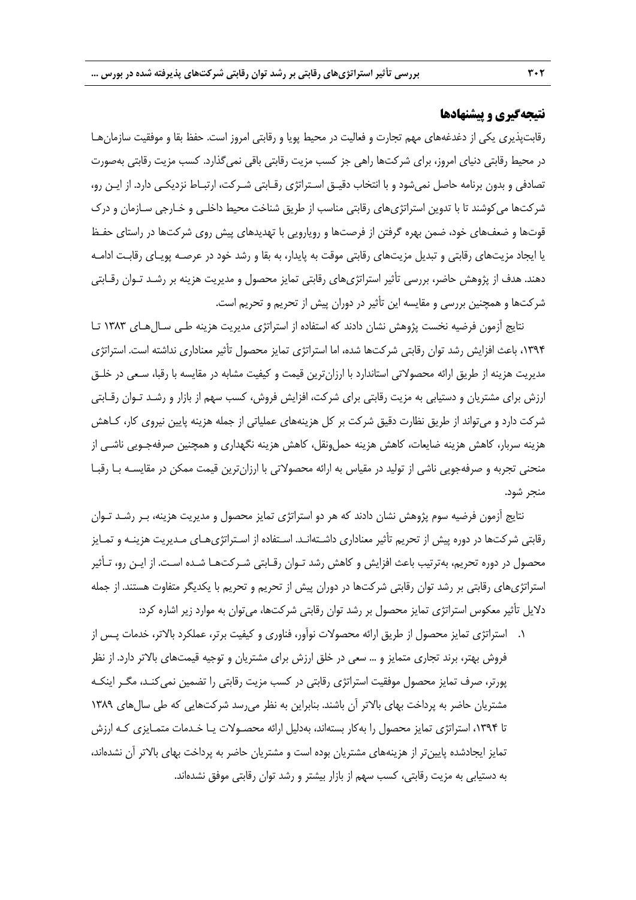# **نتيجهگيري و پيشنهادها**

رقابتپذيري يكي از دغدغههاي مهم تجارت و فعاليت در محيط پويا و رقابتي امروز است. حفظ بقا و موفقيت سازمانهـا در محيط رقابتي دنياي امروز، براي شركتها راهي جز كسب مزيت رقابتي باقي نميگذارد. كسب مزيت رقابتي بهصورت تصادفي و بدون برنامه حاصل نميشود و با انتخاب دقيـق اسـتراتژي رقـابتي شـركت، ارتبـاط نزديكـي دارد. از ايـن رو، شركتها ميكوشند تا با تدوين استراتژيهاي رقابتي مناسب از طريق شناخت محيط داخلـي و خـارجي سـازمان و درك قوتها و ضعفهاي خود، ضمن بهره گرفتن از فرصتها و رويارويي با تهديدهاي پيش روي شركتها در راستاي حفـظ يا ايجاد مزيتهاي رقابتي و تبديل مزيتهاي رقابتي موقت به پايدار، به بقا و رشد خود در عرصـه پويـاي رقابـت ادامـه دهند. هدف از پژوهش حاضر، بررسي تأثير استراتژيهاي رقابتي تمايز محصول و مديريت هزينه بر رشـد تـوان رقـابتي شركتها و همچنين بررسي و مقايسه اين تأثير در دوران پيش از تحريم و تحريم است.

نتايج آزمون فرضيه نخست پژوهش نشان دادند كه استفاده از استراتژي مديريت هزينه طـي سـالهـاي 1383 تـا ،1394 باعث افزايش رشد توان رقابتي شركتها شده، اما استراتژي تمايز محصول تأثير معناداري نداشته است. استراتژي مديريت هزينه از طريق ارائه محصولاتي استاندارد با ارزانترين قيمت و كيفيت مشابه در مقايسه با رقبا، سـعي در خلـق ارزش براي مشتريان و دستيابي به مزيت رقابتي براي شركت، افزايش فروش، كسب سهم از بازار و رشـد تـوان رقـابتي شركت دارد و ميتواند از طريق نظارت دقيق شركت بر كل هزينههاي عملياتي از جمله هزينه پايين نيروي كار، كـاهش هزينه سربار، كاهش هزينه ضايعات، كاهش هزينه حملونقل، كاهش هزينه نگهداري و همچنين صرفهجـويي ناشـي از منحني تجربه و صرفهجويي ناشي از توليد در مقياس به ارائه محصولاتي با ارزانترين قيمت ممكن در مقايسـه بـا رقبـا منجر شود.

نتايج آزمون فرضيه سوم پژوهش نشان دادند كه هر دو استراتژي تمايز محصول و مديريت هزينه، بـر رشـد تـوان رقابتي شركتها در دوره پيش از تحريم تأثير معناداري داشـتهانـد. اسـتفاده از اسـتراتژيهـاي مـديريت هزينـه و تمـايز محصول در دوره تحريم، بهترتيب باعث افزايش و كاهش رشد تـوان رقـابتي شـركتهـا شـده اسـت. از ايـن رو، تـأثير استراتژيهاي رقابتي بر رشد توان رقابتي شركتها در دوران پيش از تحريم و تحريم با يكديگر متفاوت هستند. از جمله دلايل تأثير معكوس استراتژي تمايز محصول بر رشد توان رقابتي شركتها، ميتوان به موارد زير اشاره كرد:

.1 استراتژي تمايز محصول از طريق ارائه محصولات نوآور، فناوري و كيفيت برتر، عملكرد بالاتر، خدمات پـس از فروش بهتر، برند تجاري متمايز و ... سعي در خلق ارزش براي مشتريان و توجيه قيمتهاي بالاتر دارد. از نظر پورتر، صرف تمايز محصول موفقيت استراتژي رقابتي در كسب مزيت رقابتي را تضمين نميكنـد، مگـر اينكـه مشتريان حاضر به پرداخت بهاي بالاتر آن باشند. بنابراين به نظر ميرسد شركتهايي كه طي سالهاي 1389 تا ۱۳۹۴، استراتژي تمايز محصول را بهكار بستهاند، بهدليل ارائه محصـولات يـا خـدمات متمـايزي كـه ارزش تمايز ايجادشده پايينتر از هزينههاي مشتريان بوده است و مشتريان حاضر به پرداخت بهاي بالاتر آن نشدهاند، به دستيابي به مزيت رقابتي، كسب سهم از بازار بيشتر و رشد توان رقابتي موفق نشدهاند.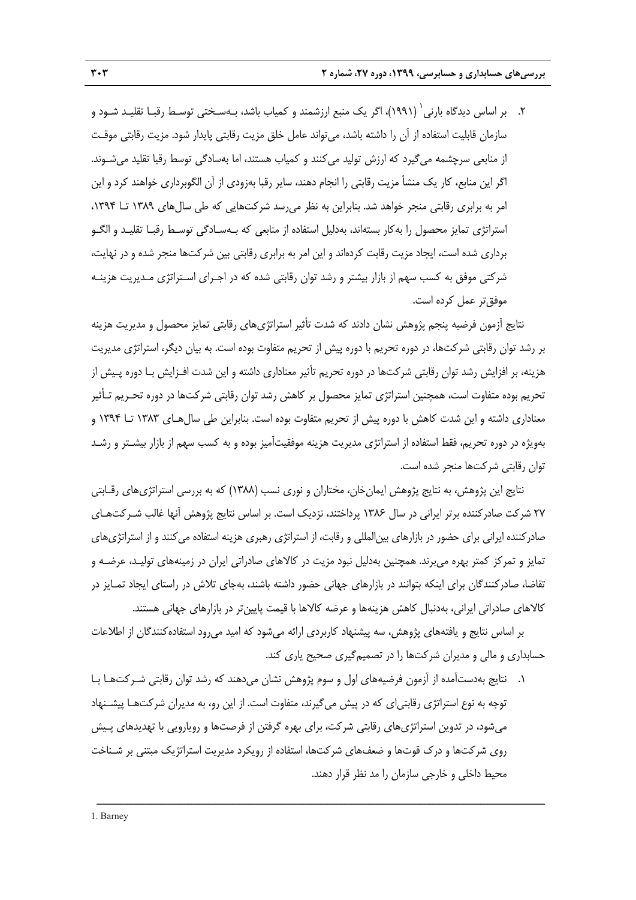۲. بر اساس ديدگاه بارني` (١٩٩١)، اگر يک منبع ارزشمند و كمياب باشد، بـهسـختي توسـط رقبـا تقليـد شـود و سازمان قابليت استفاده از آن را داشته باشد، ميتواند عامل خلق مزيت رقابتي پايدار شود. مزيت رقابتي موقـت از منابعي سرچشمه ميگيرد كه ارزش توليد ميكنند و كمياب هستند، اما بهسادگي توسط رقبا تقليد ميشـوند. اگر اين منابع، كار يك منشأ مزيت رقابتي را انجام دهند، ساير رقبا بهزودي از آن الگوبرداري خواهند كرد و اين امر به برابري رقابتي منجر خواهد شد. بنابراين به نظر ميرسد شركتهايي كه طي سالهاي 1389 تـا ،1394 استراتژي تمايز محصول را بهكار بستهاند، بهدليل استفاده از منابعي كه بـهسـادگي توسـط رقبـا تقليـد و الگـو برداري شده است، ايجاد مزيت رقابت كردهاند و اين امر به برابري رقابتي بين شركتها منجر شده و در نهايت، شركتي موفق به كسب سهم از بازار بيشتر و رشد توان رقابتي شده كه در اجـراي اسـتراتژي مـديريت هزينـه موفقتر عمل كرده است.

نتايج آزمون فرضيه پنجم پژوهش نشان دادند كه شدت تأثير استراتژيهاي رقابتي تمايز محصول و مديريت هزينه بر رشد توان رقابتي شركتها، در دوره تحريم با دوره پيش از تحريم متفاوت بوده است. به بيان ديگر، استراتژي مديريت هزينه، بر افزايش رشد توان رقابتي شركتها در دوره تحريم تأثير معناداري داشته و اين شدت افـزايش بـا دوره پـيش از تحريم بوده متفاوت است، همچنين استراتژي تمايز محصول بر كاهش رشد توان رقابتي شركتها در دوره تحـريم تـأثير معناداري داشته و اين شدت كاهش با دوره پيش از تحريم متفاوت بوده است. بنابراين طي سالهـاي 1383 تـا 1394 و بهويژه در دوره تحريم، فقط استفاده از استراتژي مديريت هزينه موفقيتآميز بوده و به كسب سهم از بازار بيشـتر و رشـد توان رقابتي شركتها منجر شده است.

نتايج اين پژوهش، به نتايج پژوهش ايمانخان، مختاران و نوري نسب (1388) كه به بررسي استراتژيهاي رقـابتي 27 شركت صادركننده برتر ايراني در سال 1386 پرداختند، نزديك است. بر اساس نتايج پژوهش آنها غالب شـركتهـاي صادركننده ايراني براي حضور در بازارهاي بينالمللي و رقابت، از استراتژي رهبري هزينه استفاده ميكنند و از استراتژيهاي تمايز و تمركز كمتر بهره ميبرند. همچنين بهدليل نبود مزيت در كالاهاي صادراتي ايران در زمينههاي توليـد، عرضـه و تقاضا، صادركنندگان براي اينكه بتوانند در بازارهاي جهاني حضور داشته باشند، بهجاي تلاش در راستاي ايجاد تمـايز در كالاهاي صادراتي ايراني، بهدنبال كاهش هزينهها و عرضه كالاها با قيمت پايينتر در بازارهاي جهاني هستند.

بر اساس نتايج و يافتههاي پژوهش، سه پيشنهاد كاربردي ارائه ميشود كه اميد ميرود استفادهكنندگان از اطلاعات حسابداري و مالي و مديران شركتها را در تصميمگيري صحيح ياري كند.

.1 نتايج بهدستآمده از آزمون فرضيههاي اول و سوم پژوهش نشان ميدهند كه رشد توان رقابتي شـركتهـا بـا توجه به نوع استراتژي رقابتياي كه در پيش ميگيرند، متفاوت است. از اين رو، به مديران شركتهـا پيشـنهاد ميشود، در تدوين استراتژيهاي رقابتي شركت، براي بهره گرفتن از فرصتها و رويارويي با تهديدهاي پـيش روي شركتها و درك قوتها و ضعفهاي شركتها، استفاده از رويكرد مديريت استراتژيك مبتني بر شـناخت محيط داخلي و خارجي سازمان را مد نظر قرار دهند.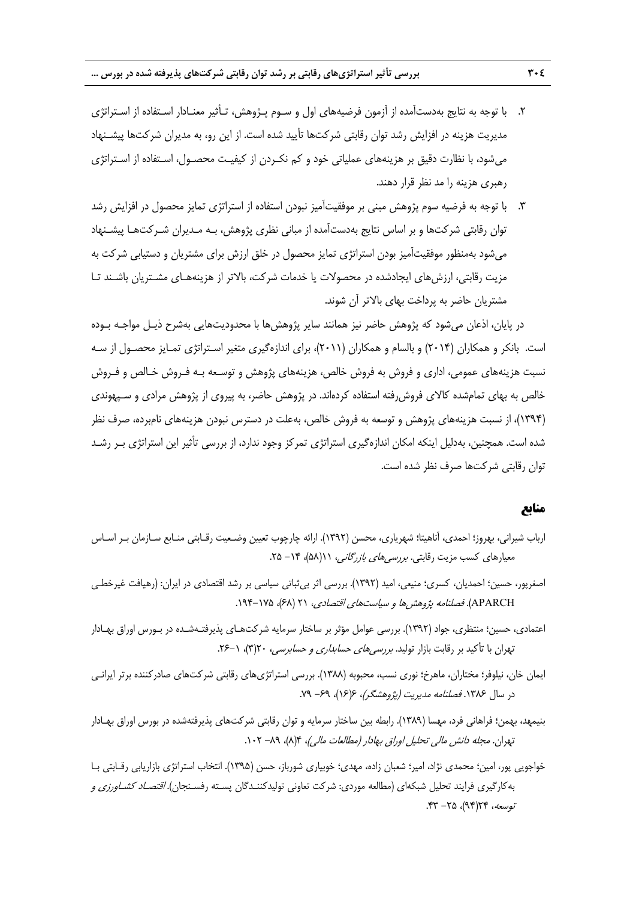- .2 با توجه به نتايج بهدستآمده از آزمون فرضيههاي اول و سـوم پـژوهش، تـأثير معنـادار اسـتفاده از اسـتراتژي مديريت هزينه در افزايش رشد توان رقابتي شركتها تأييد شده است. از اين رو، به مديران شركتها پيشـنهاد ميشود، با نظارت دقيق بر هزينههاي عملياتي خود و كم نكـردن از كيفيـت محصـول، اسـتفاده از اسـتراتژي رهبري هزينه را مد نظر قرار دهند.
- .3 با توجه به فرضيه سوم پژوهش مبني بر موفقيتآميز نبودن استفاده از استراتژي تمايز محصول در افزايش رشد توان رقابتي شركتها و بر اساس نتايج بهدستآمده از مباني نظري پژوهش، بـه مـديران شـركتهـا پيشـنهاد ميشود بهمنظور موفقيتآميز بودن استراتژي تمايز محصول در خلق ارزش براي مشتريان و دستيابي شركت به مزيت رقابتي، ارزشهاي ايجادشده در محصولات يا خدمات شركت، بالاتر از هزينههـاي مشـتريان باشـند تـا مشتريان حاضر به پرداخت بهاي بالاتر آن شوند.

در پايان، اذعان مي شود كه پژوهش حاضر نيز همانند ساير پژوهش ها با محدوديتهايي بهشرح ذيـل مواجـه بـوده است. بانكر و همكاران (2014) و بالسام و همكاران (2011)، براي اندازهگيري متغير اسـتراتژي تمـايز محصـول از سـه نسبت هزينههاي عمومي، اداري و فروش به فروش خالص، هزينههاي پژوهش و توسـعه بـه فـروش خـالص و فـروش خالص به بهاي تمامشده كالاي فروشرفته استفاده كردهاند. در پژوهش حاضر، به پيروي از پژوهش مرادي و سـپهوندي (1394)، از نسبت هزينههاي پژوهش و توسعه به فروش خالص، بهعلت در دسترس نبودن هزينههاي نامبرده، صرف نظر شده است. همچنين، بهدليل اينكه امكان اندازهگيري استراتژي تمركز وجود ندارد، از بررسي تأثير اين استراتژي بـر رشـد توان رقابتي شركتها صرف نظر شده است.

## **منابع**

- ارباب شيراني، بهروز؛ احمدي، آناهيتا؛ شهرياري، محسن (1392). ارائه چارچوب تعيين وضـعيت رقـابتي منـابع سـازمان بـر اسـاس معيارهاي كسب مزيت رقابتي. *بررسي هاي بازرگاني، ١١(*۵٨)، ٦۴ - ٢۵.
- اصغرپور، حسين؛ احمديان، كسري؛ منيعي، اميد (1392). بررسي اثر بيثباتي سياسي بر رشد اقتصادي در ايران: (رهيافت غيرخطـي APARCH). فصلنامه پژوهش ها و سياستهاي اقتصادي، ۲۱ (۶۸)، ۱۹۴-۱۹۴.
- اعتمادي، حسين؛ منتظري، جواد (1392). بررسي عوامل مؤثر بر ساختار سرمايه شركتهـاي پذيرفتـهشـده در بـورس اوراق بهـادار تهران با تأكيد بر رقابت بازار توليد. *بررسي هاي حسابداري وحسابرسي،* ٢٣(٣)، ١-٢۶.
- ايمان خان، نيلوفر؛ مختاران، ماهرخ؛ نوري نسب، محبوبه (1388). بررسي استراتژيهاي رقابتي شركتهاي صادركننده برتر ايرانـي در سال ۱۳۸۶. *فصلنامه مديريت (پژوهشگر)، ۶*(۱۶)، ۶۹– ۷۹.
- بنيمهد، بهمن؛ فراهاني فرد، مهسا (1389). رابطه بين ساختار سرمايه و توان رقابتي شركتهاي پذيرفتهشده در بورس اوراق بهـادار تهران. مجله دانش مالي تحليل اوراق بهادار (مطالعات مالي)، ٩(٨)، ٨٩- ١٠٢.
- خواجويي پور، امين؛ محمدي نژاد، امير؛ شعبان زاده، مهدي؛ خوبياري شورباز، حسن (1395). انتخاب استراتژي بازاريابي رقـابتي بـا بهكارگيري فرايند تحليل شبكهاي (مطالعه موردي: شركت تعاوني توليدكننـدگان پسـته رفسـنجان). *اقتصـاد كشـاورزي و* توسعه، ١٢٤(٩٤)، ٢٥- ۴٣.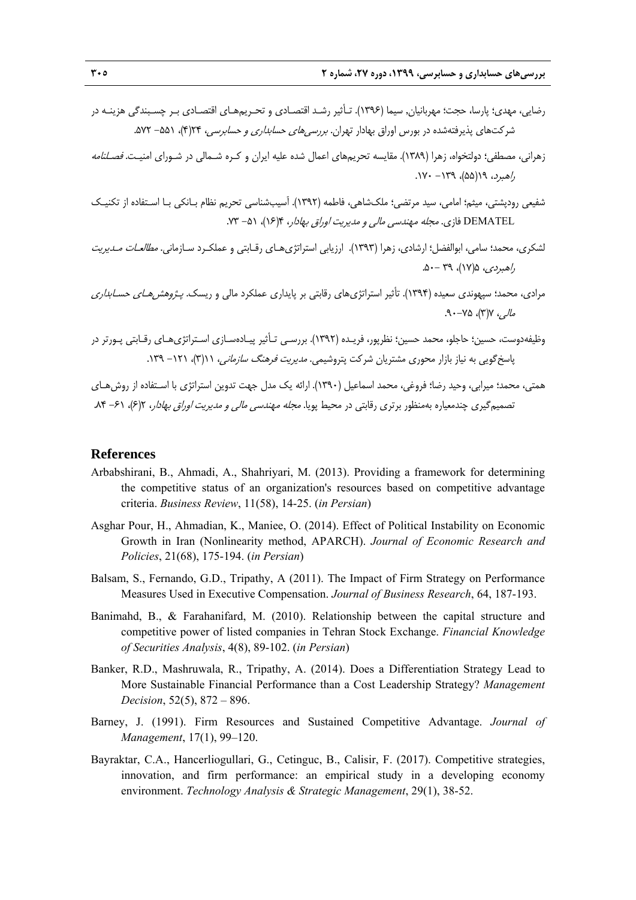- رضايي، مهدي؛ پارسا، حجت؛ مهربانيان, سيما (1396). تـأثير رشـد اقتصـادي و تحـريمهـاي اقتصـادي بـر چسـبندگي هزينـه در شركتهاي پذيرفتهشده در بورس اوراق بهادار تهران. *بررسي هاي حسابداري و حسابرسي،* ۲۴(۴)، ۵۵۱- ۵۷۲.
- زهراني، مصطفي؛ دولتخواه، زهرا (1389). مقايسه تحريمهاي اعمال شده عليه ايران و كـره شـمالي در شـوراي امنيـت. فصـلنامه ر*اهبرد، ۱۹*(۵۵)، ۱۲۹– ۱۷۰.
- شفيعي رودپشتي، ميثم؛ امامي، سيد مرتضي؛ ملكشاهي، فاطمه (1392). آسيبشناسي تحريم نظام بـانكي بـا اسـتفاده از تكنيـك DEMATEL فازي. *مجله مهندسي مالي و مدي*ري*ت اوراق بهادا*ر، ۴(۱۶)، ۵۱– ۷۳.
- لشكري، محمد؛ سامي، ابوالفضل؛ ارشادي، زهرا (1393). ارزيابي استراتژيهـاي رقـابتي و عملكـرد سـازماني. مطالعـات مـديريت  $\Delta - 79$ ، (١٧)،  $\gamma - 6$ .
- مرادي، محمد؛ سپهوندي سعيده (۱۳۹۴). تأثير استراتژيهاي رقابتي بر پايداري عملكرد مالي و ريسک. *پـژوهش هـاي حسـابداري*  $\Delta V_-, V_0 \times V_-, V_-,$
- وظيفهدوست، حسين؛ حاجلو، محمد حسين؛ نظرپور، فريـده (1392). بررسـي تـأثير پيـادهسـازي اسـتراتژيهـاي رقـابتي پـورتر در پاسخ گويي به نياز بازار محوري مشتريان شركت پتروشيمي. *مديريت فرهنگ سازماني، ۱*۱(۳)، ۱۲۱– ۱۳۹.

همتي، محمد؛ ميرابي، وحيد رضا؛ فروغي، محمد اسماعيل (1390). ارائه يك مدل جهت تدوين استراتژي با اسـتفاده از روشهـاي تصميم گيري چندمعياره بهمنظور برتري رقابتي در محيط پويا. *مجله مهندسي مالي و مديريت اوراق بهادار*، 2(۶)، ۶۱– ۸۴.

#### **References**

- Arbabshirani, B., Ahmadi, A., Shahriyari, M. (2013). Providing a framework for determining the competitive status of an organization's resources based on competitive advantage criteria. *Business Review*, 11(58), 14-25. (*in Persian*)
- Asghar Pour, H., Ahmadian, K., Maniee, O. (2014). Effect of Political Instability on Economic Growth in Iran (Nonlinearity method, APARCH). *Journal of Economic Research and Policies*, 21(68), 175-194. (*in Persian*)
- Balsam, S., Fernando, G.D., Tripathy, A (2011). The Impact of Firm Strategy on Performance Measures Used in Executive Compensation. *Journal of Business Research*, 64, 187-193.
- Banimahd, B., & Farahanifard, M. (2010). Relationship between the capital structure and competitive power of listed companies in Tehran Stock Exchange. *Financial Knowledge of Securities Analysis*, 4(8), 89-102. (*in Persian*)
- Banker, R.D., Mashruwala, R., Tripathy, A. (2014). Does a Differentiation Strategy Lead to More Sustainable Financial Performance than a Cost Leadership Strategy? *Management Decision*, 52(5), 872 – 896.
- Barney, J. (1991). Firm Resources and Sustained Competitive Advantage. *Journal of Management*, 17(1), 99–120.
- Bayraktar, C.A., Hancerliogullari, G., Cetinguc, B., Calisir, F. (2017). Competitive strategies, innovation, and firm performance: an empirical study in a developing economy environment. *Technology Analysis & Strategic Management*, 29(1), 38-52.